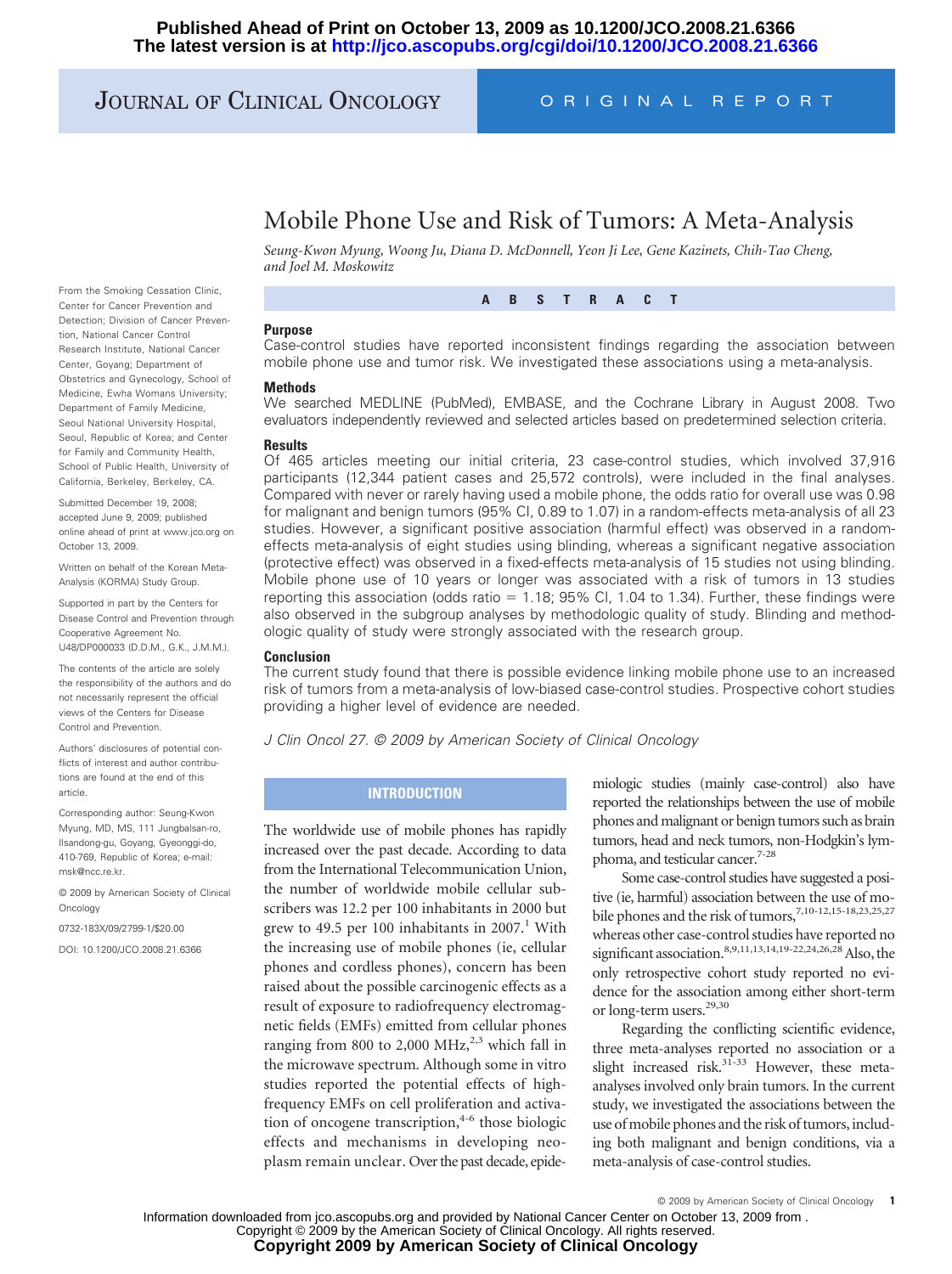# JOURNAL OF CLINICAL ONCOLOGY ORIGINAL REPORT

# Mobile Phone Use and Risk of Tumors: A Meta-Analysis

*Seung-Kwon Myung, Woong Ju, Diana D. McDonnell, Yeon Ji Lee, Gene Kazinets, Chih-Tao Cheng, and Joel M. Moskowitz*

**ABSTRACT**

#### **Purpose**

Case-control studies have reported inconsistent findings regarding the association between mobile phone use and tumor risk. We investigated these associations using a meta-analysis.

#### **Methods**

We searched MEDLINE (PubMed), EMBASE, and the Cochrane Library in August 2008. Two evaluators independently reviewed and selected articles based on predetermined selection criteria.

#### **Results**

Of 465 articles meeting our initial criteria, 23 case-control studies, which involved 37,916 participants (12,344 patient cases and 25,572 controls), were included in the final analyses. Compared with never or rarely having used a mobile phone, the odds ratio for overall use was 0.98 for malignant and benign tumors (95% CI, 0.89 to 1.07) in a random-effects meta-analysis of all 23 studies. However, a significant positive association (harmful effect) was observed in a randomeffects meta-analysis of eight studies using blinding, whereas a significant negative association (protective effect) was observed in a fixed-effects meta-analysis of 15 studies not using blinding. Mobile phone use of 10 years or longer was associated with a risk of tumors in 13 studies reporting this association (odds ratio  $= 1.18$ ; 95% CI, 1.04 to 1.34). Further, these findings were also observed in the subgroup analyses by methodologic quality of study. Blinding and methodologic quality of study were strongly associated with the research group.

#### **Conclusion**

The current study found that there is possible evidence linking mobile phone use to an increased risk of tumors from a meta-analysis of low-biased case-control studies. Prospective cohort studies providing a higher level of evidence are needed.

*J Clin Oncol 27. © 2009 by American Society of Clinical Oncology*

#### **INTRODUCTION**

The worldwide use of mobile phones has rapidly increased over the past decade. According to data from the International Telecommunication Union, the number of worldwide mobile cellular subscribers was 12.2 per 100 inhabitants in 2000 but grew to 49.5 per 100 inhabitants in  $2007<sup>1</sup>$  With the increasing use of mobile phones (ie, cellular phones and cordless phones), concern has been raised about the possible carcinogenic effects as a result of exposure to radiofrequency electromagnetic fields (EMFs) emitted from cellular phones ranging from 800 to 2,000 MHz,<sup>2,3</sup> which fall in the microwave spectrum. Although some in vitro studies reported the potential effects of highfrequency EMFs on cell proliferation and activation of oncogene transcription, $4-6$  those biologic effects and mechanisms in developing neoplasm remain unclear. Over the past decade, epidemiologic studies (mainly case-control) also have reported the relationships between the use of mobile phones and malignant or benign tumors such as brain tumors, head and neck tumors, non-Hodgkin's lymphoma, and testicular cancer.<sup>7-28</sup>

Some case-control studies have suggested a positive (ie, harmful) association between the use of mobile phones and the risk of tumors,<sup>7,10-12,15-18,23,25,27</sup> whereas other case-control studies have reported no significant association.<sup>8,9,11,13,14,19-22,24,26,28</sup> Also, the only retrospective cohort study reported no evidence for the association among either short-term or long-term users.<sup>29,30</sup>

Regarding the conflicting scientific evidence, three meta-analyses reported no association or a slight increased risk.<sup>31-33</sup> However, these metaanalyses involved only brain tumors. In the current study, we investigated the associations between the use of mobile phones and the risk of tumors, including both malignant and benign conditions, via a meta-analysis of case-control studies.

© 2009 by American Society of Clinical Oncology **1**

From the Smoking Cessation Clinic, Center for Cancer Prevention and Detection; Division of Cancer Prevention, National Cancer Control Research Institute, National Cancer Center, Goyang; Department of Obstetrics and Gynecology, School of Medicine, Ewha Womans University; Department of Family Medicine, Seoul National University Hospital, Seoul, Republic of Korea; and Center for Family and Community Health, School of Public Health, University of California, Berkeley, Berkeley, CA.

Submitted December 19, 2008; accepted June 9, 2009; published online ahead of print at www.jco.org on October 13, 2009.

Written on behalf of the Korean Meta-Analysis (KORMA) Study Group.

Supported in part by the Centers for Disease Control and Prevention through Cooperative Agreement No. U48/DP000033 (D.D.M., G.K., J.M.M.).

The contents of the article are solely the responsibility of the authors and do not necessarily represent the official views of the Centers for Disease Control and Prevention.

Authors' disclosures of potential conflicts of interest and author contributions are found at the end of this article.

Corresponding author: Seung-Kwon Myung, MD, MS, 111 Jungbalsan-ro, Ilsandong-gu, Goyang, Gyeonggi-do, 410-769, Republic of Korea; e-mail: msk@ncc.re.kr.

© 2009 by American Society of Clinical Oncology

0732-183X/09/2799-1/\$20.00

DOI: 10.1200/JCO.2008.21.6366

Copyright © 2009 by the American Society of Clinical Oncology. All rights reserved. Information downloaded from jco.ascopubs.org and provided by National Cancer Center on October 13, 2009 from .

**Copyright 2009 by American Society of Clinical Oncology**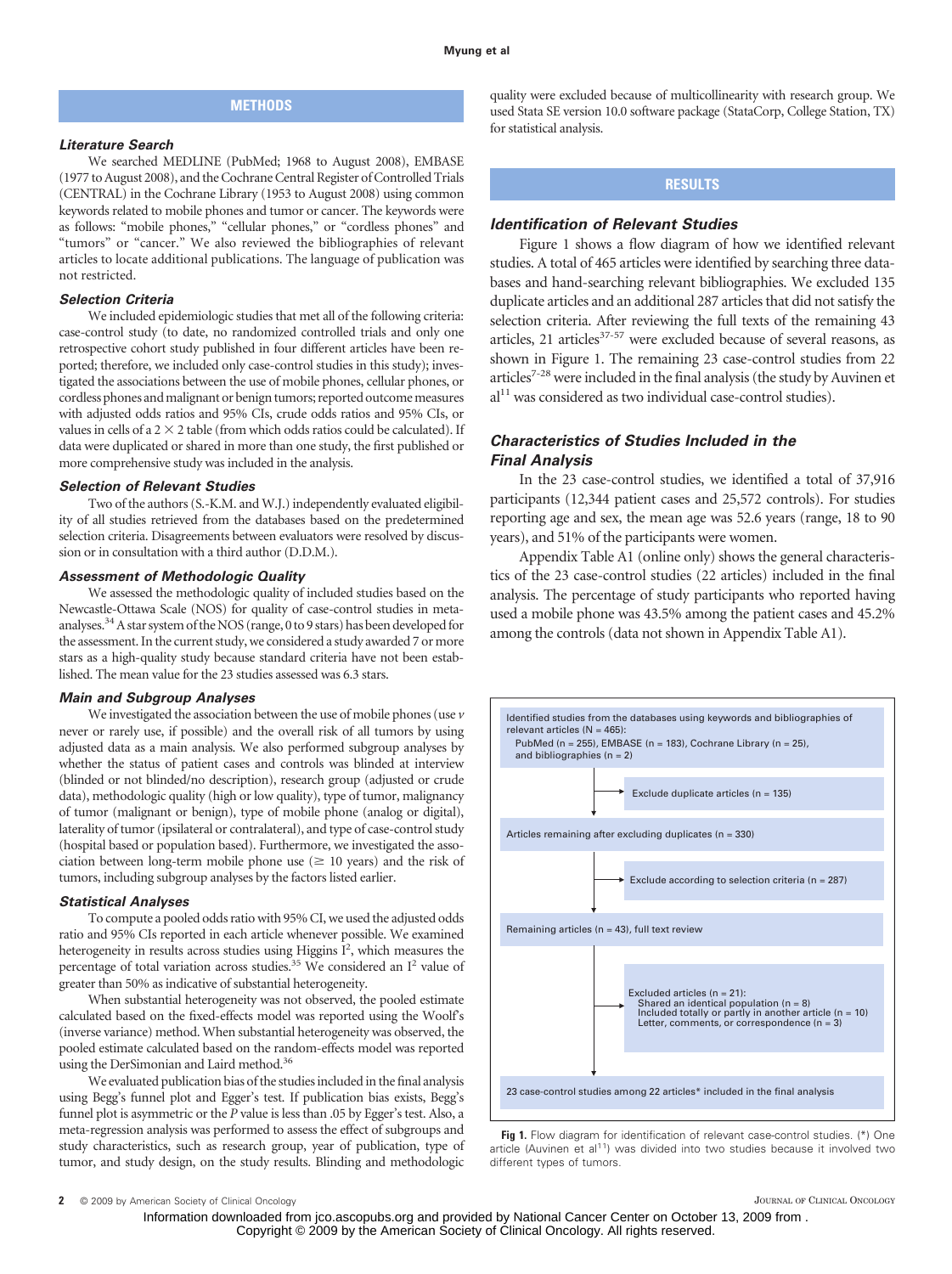# **METHODS**

#### *Literature Search*

We searched MEDLINE (PubMed; 1968 to August 2008), EMBASE (1977 to August 2008), and the Cochrane Central Register of Controlled Trials (CENTRAL) in the Cochrane Library (1953 to August 2008) using common keywords related to mobile phones and tumor or cancer. The keywords were as follows: "mobile phones," "cellular phones," or "cordless phones" and "tumors" or "cancer." We also reviewed the bibliographies of relevant articles to locate additional publications. The language of publication was not restricted.

#### *Selection Criteria*

We included epidemiologic studies that met all of the following criteria: case-control study (to date, no randomized controlled trials and only one retrospective cohort study published in four different articles have been reported; therefore, we included only case-control studies in this study); investigated the associations between the use of mobile phones, cellular phones, or cordless phones and malignant or benign tumors; reported outcome measures with adjusted odds ratios and 95% CIs, crude odds ratios and 95% CIs, or values in cells of a 2  $\times$  2 table (from which odds ratios could be calculated). If data were duplicated or shared in more than one study, the first published or more comprehensive study was included in the analysis.

#### *Selection of Relevant Studies*

Two of the authors (S.-K.M. and W.J.) independently evaluated eligibility of all studies retrieved from the databases based on the predetermined selection criteria. Disagreements between evaluators were resolved by discussion or in consultation with a third author (D.D.M.).

#### *Assessment of Methodologic Quality*

We assessed the methodologic quality of included studies based on the Newcastle-Ottawa Scale (NOS) for quality of case-control studies in metaanalyses.<sup>34</sup> A star system of the NOS (range, 0 to 9 stars) has been developed for the assessment. In the current study, we considered a study awarded 7 or more stars as a high-quality study because standard criteria have not been established. The mean value for the 23 studies assessed was 6.3 stars.

#### *Main and Subgroup Analyses*

We investigated the association between the use of mobile phones (use *v* never or rarely use, if possible) and the overall risk of all tumors by using adjusted data as a main analysis. We also performed subgroup analyses by whether the status of patient cases and controls was blinded at interview (blinded or not blinded/no description), research group (adjusted or crude data), methodologic quality (high or low quality), type of tumor, malignancy of tumor (malignant or benign), type of mobile phone (analog or digital), laterality of tumor (ipsilateral or contralateral), and type of case-control study (hospital based or population based). Furthermore, we investigated the association between long-term mobile phone use  $(\geq 10 \text{ years})$  and the risk of tumors, including subgroup analyses by the factors listed earlier.

#### *Statistical Analyses*

To compute a pooled odds ratio with 95% CI, we used the adjusted odds ratio and 95% CIs reported in each article whenever possible. We examined heterogeneity in results across studies using Higgins  $\tilde{I}^2$ , which measures the percentage of total variation across studies.<sup>35</sup> We considered an I<sup>2</sup> value of greater than 50% as indicative of substantial heterogeneity.

When substantial heterogeneity was not observed, the pooled estimate calculated based on the fixed-effects model was reported using the Woolf's (inverse variance) method. When substantial heterogeneity was observed, the pooled estimate calculated based on the random-effects model was reported using the DerSimonian and Laird method.<sup>36</sup>

We evaluated publication bias of the studies included in the final analysis using Begg's funnel plot and Egger's test. If publication bias exists, Begg's funnel plot is asymmetric or the *P* value is less than .05 by Egger's test. Also, a meta-regression analysis was performed to assess the effect of subgroups and study characteristics, such as research group, year of publication, type of tumor, and study design, on the study results. Blinding and methodologic quality were excluded because of multicollinearity with research group. We used Stata SE version 10.0 software package (StataCorp, College Station, TX) for statistical analysis.

# **RESULTS**

## *Identification of Relevant Studies*

Figure 1 shows a flow diagram of how we identified relevant studies. A total of 465 articles were identified by searching three databases and hand-searching relevant bibliographies. We excluded 135 duplicate articles and an additional 287 articles that did not satisfy the selection criteria. After reviewing the full texts of the remaining 43 articles, 21 articles $37-57$  were excluded because of several reasons, as shown in Figure 1. The remaining 23 case-control studies from 22 articles<sup>7-28</sup> were included in the final analysis (the study by Auvinen et  $al<sup>11</sup>$  was considered as two individual case-control studies).

# *Characteristics of Studies Included in the Final Analysis*

In the 23 case-control studies, we identified a total of 37,916 participants (12,344 patient cases and 25,572 controls). For studies reporting age and sex, the mean age was 52.6 years (range, 18 to 90 years), and 51% of the participants were women.

Appendix Table A1 (online only) shows the general characteristics of the 23 case-control studies (22 articles) included in the final analysis. The percentage of study participants who reported having used a mobile phone was 43.5% among the patient cases and 45.2% among the controls (data not shown in Appendix Table A1).



**Fig 1.** Flow diagram for identification of relevant case-control studies. (\*) One article (Auvinen et al $11)$  was divided into two studies because it involved two different types of tumors.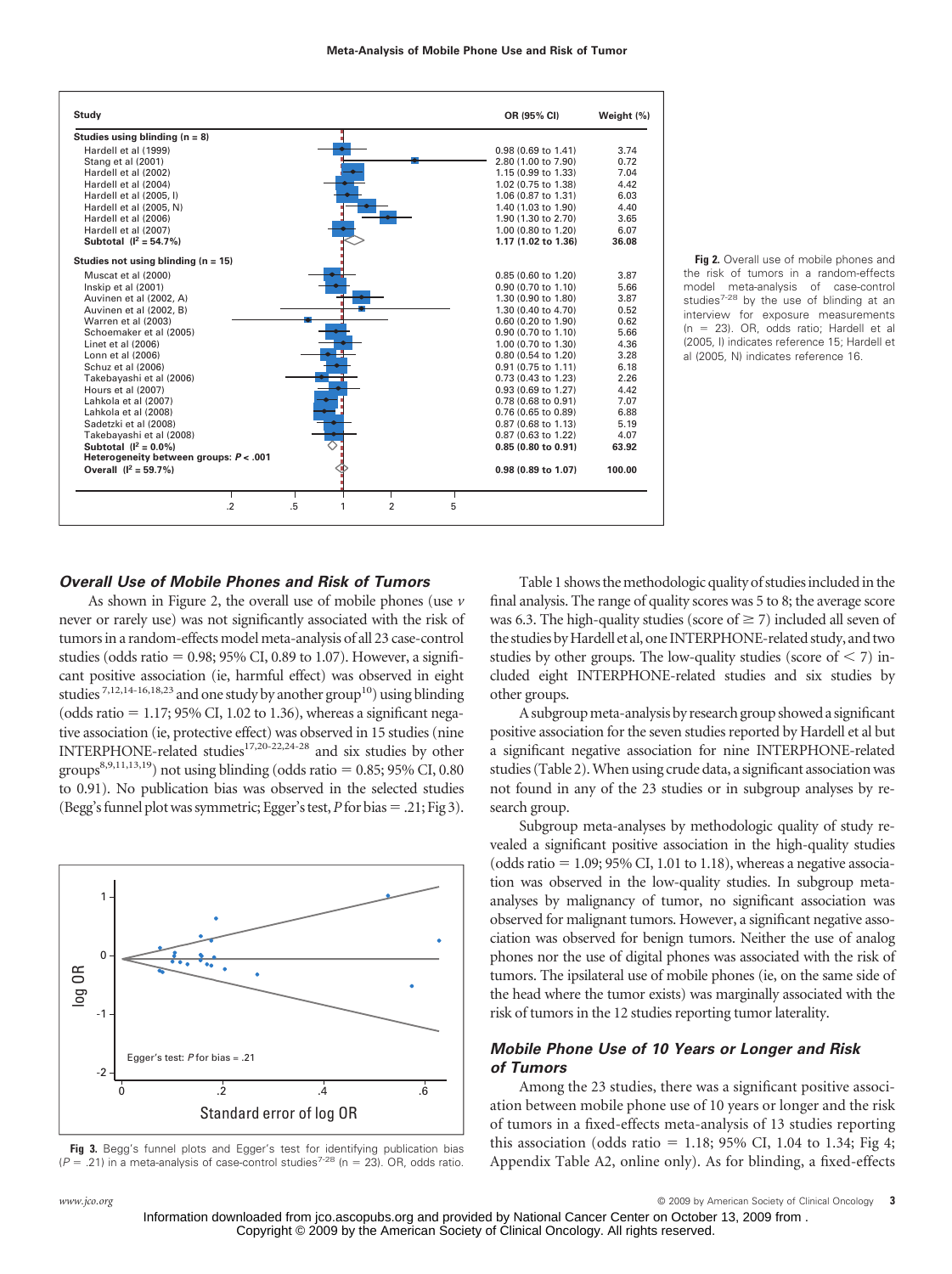

**Fig 2.** Overall use of mobile phones and the risk of tumors in a random-effects model meta-analysis of case-control studies $7-28$  by the use of blinding at an interview for exposure measurements  $(n = 23)$ . OR, odds ratio; Hardell et all (2005, I) indicates reference 15; Hardell et al (2005, N) indicates reference 16.

# *Overall Use of Mobile Phones and Risk of Tumors*

As shown in Figure 2, the overall use of mobile phones (use *v* never or rarely use) was not significantly associated with the risk of tumors in a random-effects model meta-analysis of all 23 case-control studies (odds ratio  $= 0.98$ ; 95% CI, 0.89 to 1.07). However, a significant positive association (ie, harmful effect) was observed in eight studies<sup>7,12,14-16,18,23</sup> and one study by another group<sup>10</sup>) using blinding (odds ratio  $= 1.17$ ; 95% CI, 1.02 to 1.36), whereas a significant negative association (ie, protective effect) was observed in 15 studies (nine INTERPHONE-related studies<sup>17,20-22,24-28</sup> and six studies by other groups $^{8,9,11,13,19}$ ) not using blinding (odds ratio = 0.85; 95% CI, 0.80 to 0.91). No publication bias was observed in the selected studies (Begg's funnel plot was symmetric; Egger's test,  $P$  for bias = .21; Fig 3).



**Fig 3.** Begg's funnel plots and Egger's test for identifying publication bias (*P* = .21) in a meta-analysis of case-control studies<sup>7-28</sup> (n = 23). OR, odds ratio.

Table 1 shows the methodologic quality of studies included in the final analysis. The range of quality scores was 5 to 8; the average score was 6.3. The high-quality studies (score of  $\geq$  7) included all seven of the studies byHardell et al, one INTERPHONE-related study, and two studies by other groups. The low-quality studies (score of  $\leq$  7) included eight INTERPHONE-related studies and six studies by other groups.

A subgroup meta-analysis by research group showed a significant positive association for the seven studies reported by Hardell et al but a significant negative association for nine INTERPHONE-related studies (Table 2).When using crude data, a significant association was not found in any of the 23 studies or in subgroup analyses by research group.

Subgroup meta-analyses by methodologic quality of study revealed a significant positive association in the high-quality studies (odds ratio  $= 1.09$ ; 95% CI, 1.01 to 1.18), whereas a negative association was observed in the low-quality studies. In subgroup metaanalyses by malignancy of tumor, no significant association was observed for malignant tumors. However, a significant negative association was observed for benign tumors. Neither the use of analog phones nor the use of digital phones was associated with the risk of tumors. The ipsilateral use of mobile phones (ie, on the same side of the head where the tumor exists) was marginally associated with the risk of tumors in the 12 studies reporting tumor laterality.

# *Mobile Phone Use of 10 Years or Longer and Risk of Tumors*

Among the 23 studies, there was a significant positive association between mobile phone use of 10 years or longer and the risk of tumors in a fixed-effects meta-analysis of 13 studies reporting this association (odds ratio  $= 1.18$ ; 95% CI, 1.04 to 1.34; Fig 4; Appendix Table A2, online only). As for blinding, a fixed-effects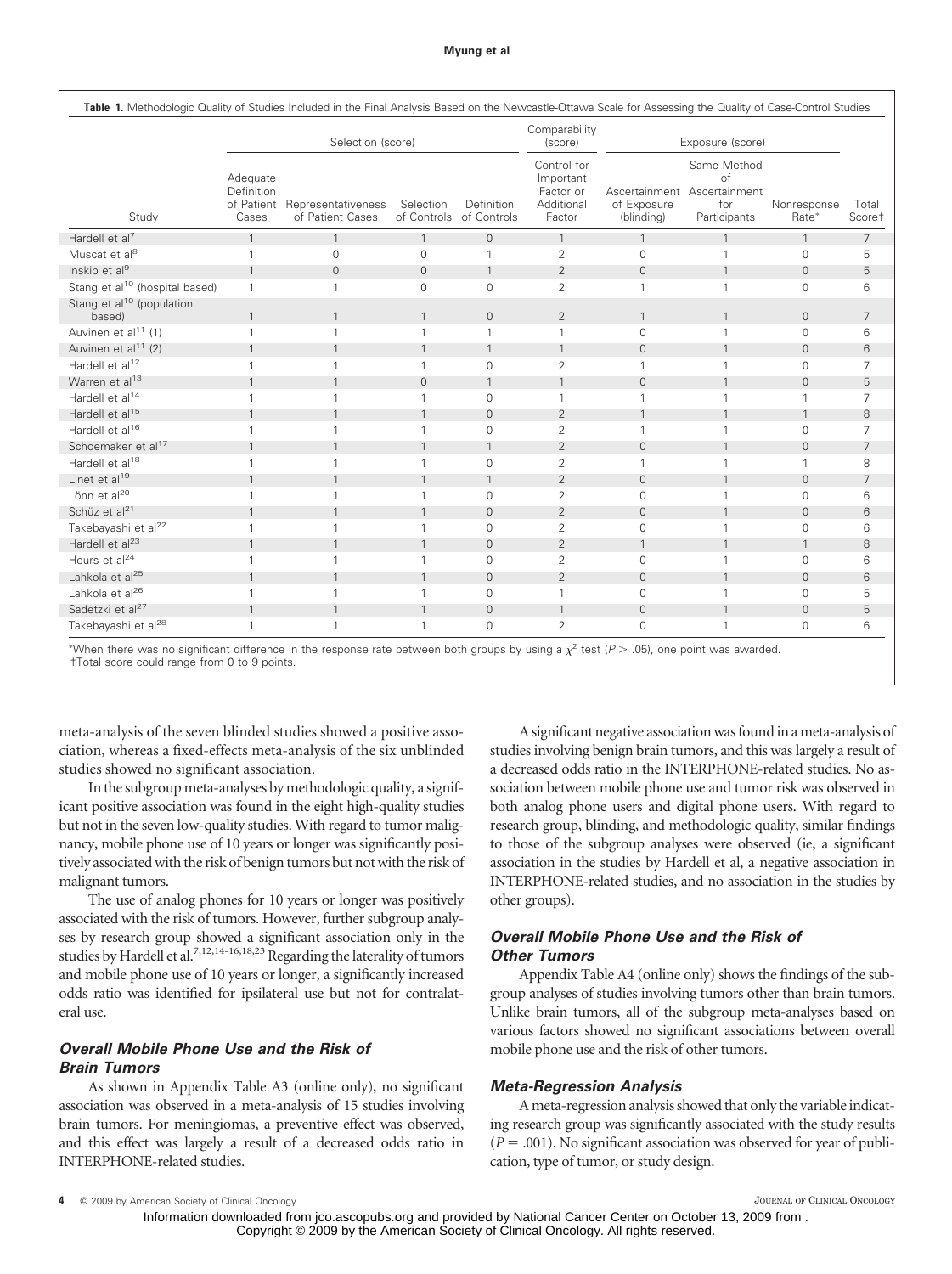#### **Myung et al**

| Table 1. Methodologic Quality of Studies Included in the Final Analysis Based on the Newcastle-Ottawa Scale for Assessing the Quality of Case-Control Studies |                                               |                                        |              |                                       |                                                               |                                   |                                                                                |                      |                 |
|---------------------------------------------------------------------------------------------------------------------------------------------------------------|-----------------------------------------------|----------------------------------------|--------------|---------------------------------------|---------------------------------------------------------------|-----------------------------------|--------------------------------------------------------------------------------|----------------------|-----------------|
|                                                                                                                                                               | Selection (score)                             |                                        |              |                                       | (score)                                                       | Comparability<br>Exposure (score) |                                                                                |                      |                 |
| Study                                                                                                                                                         | Adequate<br>Definition<br>of Patient<br>Cases | Representativeness<br>of Patient Cases | Selection    | Definition<br>of Controls of Controls | Control for<br>Important<br>Factor or<br>Additional<br>Factor | of Exposure<br>(blinding)         | Same Method<br>$\circ$ f<br>Ascertainment Ascertainment<br>for<br>Participants | Nonresponse<br>Rate* | Total<br>Scoret |
| Hardell et al <sup>7</sup>                                                                                                                                    | $\mathbf{1}$                                  | $\mathbf{1}$                           | $\mathbf{1}$ | $\mathbf{0}$                          | $\mathbf{1}$                                                  | $\mathbf{1}$                      | $\mathbf{1}$                                                                   | $\mathbf{1}$         | $\overline{7}$  |
| Muscat et al <sup>8</sup>                                                                                                                                     | $\mathbf{1}$                                  | $\mathbf{0}$                           | $\mathbf{0}$ | $\mathbf{1}$                          | $\overline{2}$                                                | $\mathbf{0}$                      | $\mathbf{1}$                                                                   | $\Omega$             | 5               |
| Inskip et al <sup>9</sup>                                                                                                                                     | $\mathbf{1}$                                  | $\overline{0}$                         | $\mathbf{0}$ | $\mathbf{1}$                          | $\overline{2}$                                                | $\mathbf{0}$                      | $\mathbf{1}$                                                                   | $\overline{0}$       | 5               |
| Stang et al <sup>10</sup> (hospital based)                                                                                                                    | 1                                             | 1                                      | $\Omega$     | $\mathbf 0$                           | $\overline{2}$                                                | $\mathbf{1}$                      | $\mathbf{1}$                                                                   | $\Omega$             | 6               |
| Stang et al <sup>10</sup> (population<br>based)                                                                                                               | $\mathbf{1}$                                  | $\mathbf{1}$                           | $\mathbf{1}$ | $\mathsf{O}\xspace$                   | 2                                                             | $\mathbf{1}$                      | $\overline{1}$                                                                 | $\overline{0}$       | $\overline{7}$  |
| Auvinen et al <sup>11</sup> (1)                                                                                                                               | 1                                             | $\mathbf{1}$                           | $\mathbf{1}$ | 1                                     | 1                                                             | $\mathbf 0$                       | $\mathbf{1}$                                                                   | $\Omega$             | 6               |
| Auvinen et al <sup>11</sup> (2)                                                                                                                               | $\mathbf{1}$                                  | $\mathbf{1}$                           | $\mathbf{1}$ | $\mathbf{1}$                          | $\mathbf{1}$                                                  | $\mathsf{O}\xspace$               | $\overline{1}$                                                                 | $\overline{0}$       | 6               |
| Hardell et al <sup>12</sup>                                                                                                                                   | $\mathbf{1}$                                  | $\mathbf{1}$                           | $\mathbf{1}$ | $\mathsf{O}\xspace$                   | $\overline{2}$                                                | $\mathbf{1}$                      | $\overline{1}$                                                                 | $\Omega$             | 7               |
| Warren et al <sup>13</sup>                                                                                                                                    | $\mathbf{1}$                                  | $\mathbf{1}$                           | $\mathbf{0}$ | $\mathbf{1}$                          | $\mathbf{1}$                                                  | $\mathbf{0}$                      | $\mathbf{1}$                                                                   | $\Omega$             | 5               |
| Hardell et al <sup>14</sup>                                                                                                                                   | $\mathbf{1}$                                  | $\mathbf{1}$                           | 1            | $\mathbf{0}$                          | $\mathbf{1}$                                                  | $\mathbf{1}$                      | $\mathbf{1}$                                                                   | 1                    | $\overline{7}$  |
| Hardell et al <sup>15</sup>                                                                                                                                   |                                               | $\mathbf{1}$                           | $\mathbf{1}$ | $\overline{0}$                        | $\overline{2}$                                                | $\mathbf{1}$                      | $\mathbf{1}$                                                                   | $\mathbf{1}$         | 8               |
| Hardell et al <sup>16</sup>                                                                                                                                   | $\mathbf{1}$                                  | 1                                      | $\mathbf{1}$ | $\mathbf{0}$                          | $\overline{2}$                                                | $\mathbf{1}$                      | $\mathbf{1}$                                                                   | 0                    | 7               |
| Schoemaker et al <sup>17</sup>                                                                                                                                | $\mathbf{1}$                                  | $\mathbf{1}$                           | $\mathbf{1}$ | $\mathbf{1}$                          | $\overline{2}$                                                | $\mathbf{0}$                      | $\overline{1}$                                                                 | $\Omega$             | $\overline{7}$  |
| Hardell et al <sup>18</sup>                                                                                                                                   | 1                                             | $\mathbf{1}$                           | 1            | $\mathbf{0}$                          | $\overline{2}$                                                | $\mathbf{1}$                      | $\mathbf{1}$                                                                   | 1                    | 8               |
| Linet et al <sup>19</sup>                                                                                                                                     | $\mathbf{1}$                                  | $\mathbf{1}$                           | $\mathbf{1}$ | $\mathbf{1}$                          | $\overline{2}$                                                | $\mathsf{O}\xspace$               | $\mathbf{1}$                                                                   | $\overline{0}$       | 7               |
| Lönn et al <sup>20</sup>                                                                                                                                      | 1                                             | $\mathbf{1}$                           | $\mathbf{1}$ | $\mathbf{0}$                          | $\overline{2}$                                                | $\mathbf{0}$                      | $\mathbf{1}$                                                                   | 0                    | 6               |
| Schüz et al <sup>21</sup>                                                                                                                                     |                                               | $\mathbf{1}$                           | $\mathbf{1}$ | $\overline{0}$                        | $\overline{2}$                                                | $\mathbf{0}$                      | $\overline{1}$                                                                 | $\overline{0}$       | 6               |
| Takebayashi et al <sup>22</sup>                                                                                                                               | 1                                             | 1                                      | $\mathbf{1}$ | $\mathbf{0}$                          | $\overline{2}$                                                | $\mathbf{0}$                      | $\mathbf{1}$                                                                   | 0                    | 6               |
| Hardell et al <sup>23</sup>                                                                                                                                   | $\mathbf{1}$                                  | $\mathbf{1}$                           | $\mathbf{1}$ | $\overline{0}$                        | $\overline{2}$                                                | $\mathbf{1}$                      | $\overline{1}$                                                                 | $\mathbf{1}$         | 8               |
| Hours et $al^{24}$                                                                                                                                            | $\mathbf{1}$                                  | $\mathbf{1}$                           | $\mathbf{1}$ | $\mathbf 0$                           | $\overline{2}$                                                | $\mathbf 0$                       | 1                                                                              | $\mathbf{0}$         | 6               |
| Lahkola et al <sup>25</sup>                                                                                                                                   | $\mathbf{1}$                                  | $\mathbf{1}$                           | $\mathbf{1}$ | $\mathbf 0$                           | $\overline{2}$                                                | $\mathbf 0$                       | $\mathbf{1}$                                                                   | $\overline{0}$       | 6               |
| Lahkola et al <sup>26</sup>                                                                                                                                   | $\mathbf{1}$                                  | $\mathbf{1}$                           | $\mathbf{1}$ | $\mathbf{0}$                          | 1                                                             | $\mathbf{0}$                      | $\mathbf{1}$                                                                   | $\Omega$             | 5               |
| Sadetzki et al <sup>27</sup>                                                                                                                                  |                                               | $\mathbf{1}$                           | $\mathbf{1}$ | $\overline{0}$                        | $\mathbf{1}$                                                  | $\mathbf{0}$                      | $\mathbf{1}$                                                                   | $\Omega$             | 5               |
| Takebayashi et al <sup>28</sup>                                                                                                                               | 1                                             | $\mathbf{1}$                           | 1            | $\mathsf{O}\xspace$                   | $\overline{2}$                                                | $\mathsf{O}\xspace$               | $\mathbf{1}$                                                                   | 0                    | 6               |

When there was no significant difference in the response rate between both groups by using a  $\chi$  $2$  test ( $P > .05$ ), one point was awarded. †Total score could range from 0 to 9 points.

meta-analysis of the seven blinded studies showed a positive association, whereas a fixed-effects meta-analysis of the six unblinded studies showed no significant association.

In the subgroup meta-analyses by methodologic quality, a significant positive association was found in the eight high-quality studies but not in the seven low-quality studies. With regard to tumor malignancy, mobile phone use of 10 years or longer was significantly positively associated with the risk of benign tumors but not with the risk of malignant tumors.

The use of analog phones for 10 years or longer was positively associated with the risk of tumors. However, further subgroup analyses by research group showed a significant association only in the studies by Hardell et al.<sup>7,12,14-16,18,23</sup> Regarding the laterality of tumors and mobile phone use of 10 years or longer, a significantly increased odds ratio was identified for ipsilateral use but not for contralateral use.

# *Overall Mobile Phone Use and the Risk of Brain Tumors*

As shown in Appendix Table A3 (online only), no significant association was observed in a meta-analysis of 15 studies involving brain tumors. For meningiomas, a preventive effect was observed, and this effect was largely a result of a decreased odds ratio in INTERPHONE-related studies.

A significant negative association wasfound in a meta-analysis of studies involving benign brain tumors, and this was largely a result of a decreased odds ratio in the INTERPHONE-related studies. No association between mobile phone use and tumor risk was observed in both analog phone users and digital phone users. With regard to research group, blinding, and methodologic quality, similar findings to those of the subgroup analyses were observed (ie, a significant association in the studies by Hardell et al, a negative association in INTERPHONE-related studies, and no association in the studies by other groups).

# *Overall Mobile Phone Use and the Risk of Other Tumors*

Appendix Table A4 (online only) shows the findings of the subgroup analyses of studies involving tumors other than brain tumors. Unlike brain tumors, all of the subgroup meta-analyses based on various factors showed no significant associations between overall mobile phone use and the risk of other tumors.

## *Meta-Regression Analysis*

A meta-regression analysis showed that only the variable indicating research group was significantly associated with the study results  $(P = .001)$ . No significant association was observed for year of publication, type of tumor, or study design.

**<sup>4</sup>** © 2009 by American Society of Clinical Oncology JOURNAL OF CLINICAL ONCOLOGY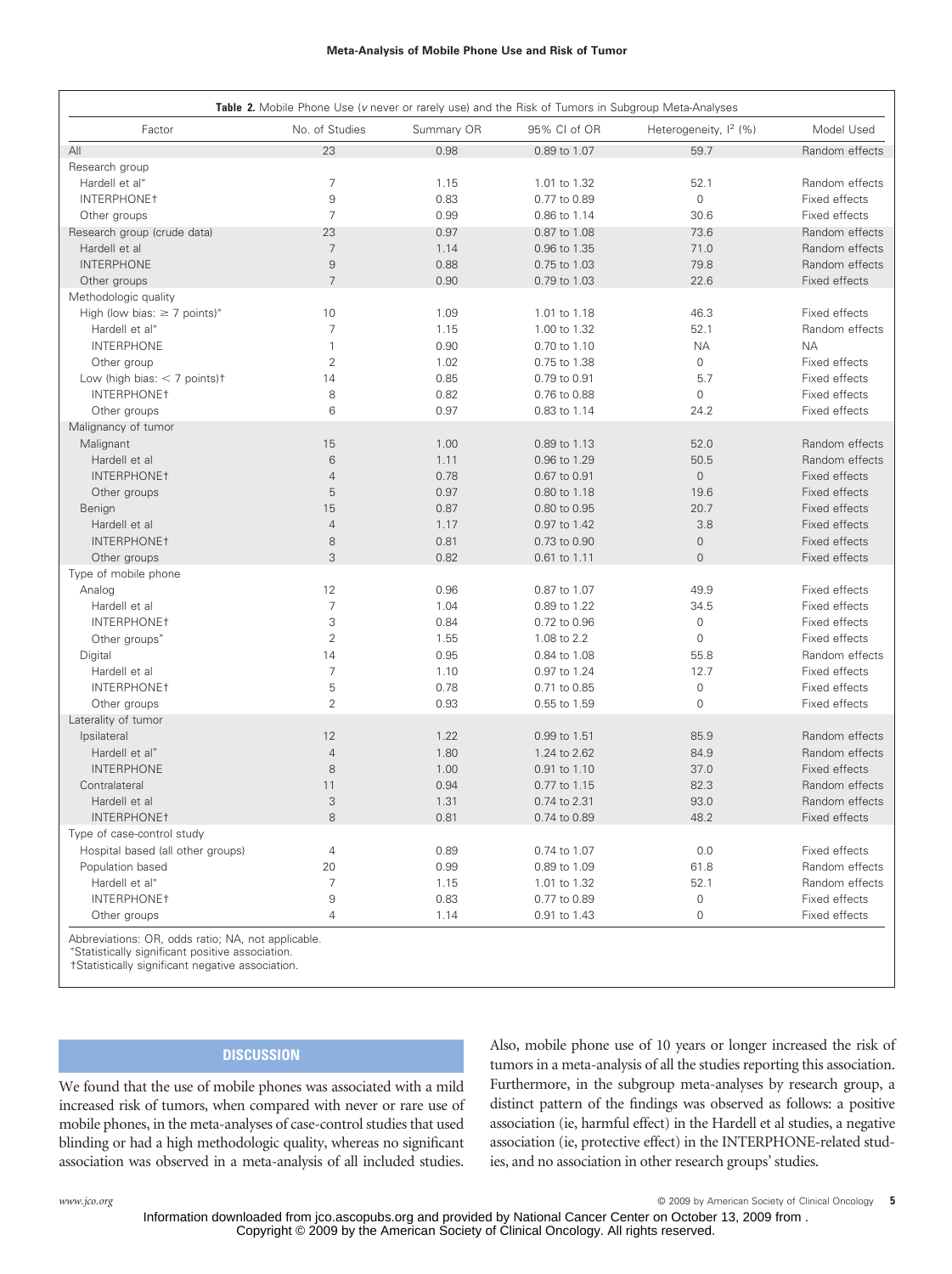|                                            | Table 2. Mobile Phone Use (v never or rarely use) and the Risk of Tumors in Subgroup Meta-Analyses |            |              |                          |                |
|--------------------------------------------|----------------------------------------------------------------------------------------------------|------------|--------------|--------------------------|----------------|
| Factor                                     | No. of Studies                                                                                     | Summary OR | 95% CI of OR | Heterogeneity, $1^2$ (%) | Model Used     |
| All                                        | 23                                                                                                 | 0.98       | 0.89 to 1.07 | 59.7                     | Random effects |
| Research group                             |                                                                                                    |            |              |                          |                |
| Hardell et al*                             | 7                                                                                                  | 1.15       | 1.01 to 1.32 | 52.1                     | Random effects |
| INTERPHONE+                                | 9                                                                                                  | 0.83       | 0.77 to 0.89 | $\mathbf 0$              | Fixed effects  |
| Other groups                               | $\overline{7}$                                                                                     | 0.99       | 0.86 to 1.14 | 30.6                     | Fixed effects  |
| Research group (crude data)                | 23                                                                                                 | 0.97       | 0.87 to 1.08 | 73.6                     | Random effects |
| Hardell et al                              | $\overline{7}$                                                                                     | 1.14       | 0.96 to 1.35 | 71.0                     | Random effects |
| <b>INTERPHONE</b>                          | $\hbox{ }^{\rm 9}$                                                                                 | 0.88       | 0.75 to 1.03 | 79.8                     | Random effects |
| Other groups                               | $\overline{7}$                                                                                     | 0.90       | 0.79 to 1.03 | 22.6                     | Fixed effects  |
| Methodologic quality                       |                                                                                                    |            |              |                          |                |
| High (low bias: $\geq$ 7 points)*          | 10                                                                                                 | 1.09       | 1.01 to 1.18 | 46.3                     | Fixed effects  |
| Hardell et al*                             | $\overline{7}$                                                                                     | 1.15       | 1.00 to 1.32 | 52.1                     | Random effects |
| <b>INTERPHONE</b>                          | $\mathbf{1}$                                                                                       | 0.90       | 0.70 to 1.10 | <b>NA</b>                | <b>NA</b>      |
| Other group                                | $\overline{2}$                                                                                     | 1.02       | 0.75 to 1.38 | $\mathbf{0}$             | Fixed effects  |
| Low (high bias: $<$ 7 points) <sup>†</sup> | 14                                                                                                 | 0.85       | 0.79 to 0.91 | 5.7                      | Fixed effects  |
| INTERPHONE+                                | 8                                                                                                  | 0.82       | 0.76 to 0.88 | $\mathbf{0}$             | Fixed effects  |
| Other groups                               | 6                                                                                                  | 0.97       | 0.83 to 1.14 | 24.2                     | Fixed effects  |
| Malignancy of tumor                        |                                                                                                    |            |              |                          |                |
| Malignant                                  | 15                                                                                                 | 1.00       | 0.89 to 1.13 | 52.0                     | Random effects |
| Hardell et al                              | 6                                                                                                  | 1.11       | 0.96 to 1.29 | 50.5                     | Random effects |
| INTERPHONE+                                | $\overline{4}$                                                                                     | 0.78       | 0.67 to 0.91 | $\mathsf{O}\xspace$      | Fixed effects  |
|                                            | 5                                                                                                  | 0.97       | 0.80 to 1.18 | 19.6                     | Fixed effects  |
| Other groups                               | 15                                                                                                 |            |              | 20.7                     | Fixed effects  |
| Benign                                     |                                                                                                    | 0.87       | 0.80 to 0.95 |                          |                |
| Hardell et al                              | $\overline{4}$                                                                                     | 1.17       | 0.97 to 1.42 | 3.8                      | Fixed effects  |
| INTERPHONE+                                | 8                                                                                                  | 0.81       | 0.73 to 0.90 | $\mathsf{O}\xspace$      | Fixed effects  |
| Other groups                               | 3                                                                                                  | 0.82       | 0.61 to 1.11 | $\Omega$                 | Fixed effects  |
| Type of mobile phone                       |                                                                                                    |            |              |                          |                |
| Analog                                     | 12                                                                                                 | 0.96       | 0.87 to 1.07 | 49.9                     | Fixed effects  |
| Hardell et al                              | $\overline{7}$                                                                                     | 1.04       | 0.89 to 1.22 | 34.5                     | Fixed effects  |
| INTERPHONE+                                | 3                                                                                                  | 0.84       | 0.72 to 0.96 | $\mathsf{O}\xspace$      | Fixed effects  |
| Other groups*                              | $\overline{2}$                                                                                     | 1.55       | 1.08 to 2.2  | $\mathbf 0$              | Fixed effects  |
| Digital                                    | 14                                                                                                 | 0.95       | 0.84 to 1.08 | 55.8                     | Random effects |
| Hardell et al                              | $\overline{7}$                                                                                     | 1.10       | 0.97 to 1.24 | 12.7                     | Fixed effects  |
| INTERPHONE+                                | 5                                                                                                  | 0.78       | 0.71 to 0.85 | $\mathsf{O}\xspace$      | Fixed effects  |
| Other groups                               | $\overline{2}$                                                                                     | 0.93       | 0.55 to 1.59 | $\mathbf 0$              | Fixed effects  |
| Laterality of tumor                        |                                                                                                    |            |              |                          |                |
| Ipsilateral                                | 12                                                                                                 | 1.22       | 0.99 to 1.51 | 85.9                     | Random effects |
| Hardell et al*                             | $\overline{4}$                                                                                     | 1.80       | 1.24 to 2.62 | 84.9                     | Random effects |
| <b>INTERPHONE</b>                          | 8                                                                                                  | 1.00       | 0.91 to 1.10 | 37.0                     | Fixed effects  |
| Contralateral                              | 11                                                                                                 | 0.94       | 0.77 to 1.15 | 82.3                     | Random effects |
| Hardell et al                              | 3                                                                                                  | 1.31       | 0.74 to 2.31 | 93.0                     | Random effects |
| INTERPHONE+                                | 8                                                                                                  | 0.81       | 0.74 to 0.89 | 48.2                     | Fixed effects  |
| Type of case-control study                 |                                                                                                    |            |              |                          |                |
| Hospital based (all other groups)          | $\overline{4}$                                                                                     | 0.89       | 0.74 to 1.07 | 0.0                      | Fixed effects  |
| Population based                           | 20                                                                                                 | 0.99       | 0.89 to 1.09 | 61.8                     | Random effects |
| Hardell et al*                             | 7                                                                                                  | 1.15       | 1.01 to 1.32 | 52.1                     | Random effects |
| INTERPHONE+                                | 9                                                                                                  | 0.83       | 0.77 to 0.89 | $\mathbf 0$              | Fixed effects  |
| Other groups                               | $\overline{4}$                                                                                     | 1.14       | 0.91 to 1.43 | $\Omega$                 | Fixed effects  |
| $OD = -1.1 -  + 1.1A$                      | الملحان والمستحل والمستحدث                                                                         |            |              |                          |                |

Abbreviations: OR, odds ratio; NA, not applicable.

 Statistically significant positive association. †Statistically significant negative association.

# **DISCUSSION**

We found that the use of mobile phones was associated with a mild increased risk of tumors, when compared with never or rare use of mobile phones, in the meta-analyses of case-control studies that used blinding or had a high methodologic quality, whereas no significant association was observed in a meta-analysis of all included studies.

Also, mobile phone use of 10 years or longer increased the risk of tumors in a meta-analysis of all the studies reporting this association. Furthermore, in the subgroup meta-analyses by research group, a distinct pattern of the findings was observed as follows: a positive association (ie, harmful effect) in the Hardell et al studies, a negative association (ie, protective effect) in the INTERPHONE-related studies, and no association in other research groups' studies.

*www.jco.org* © 2009 by American Society of Clinical Oncology **5**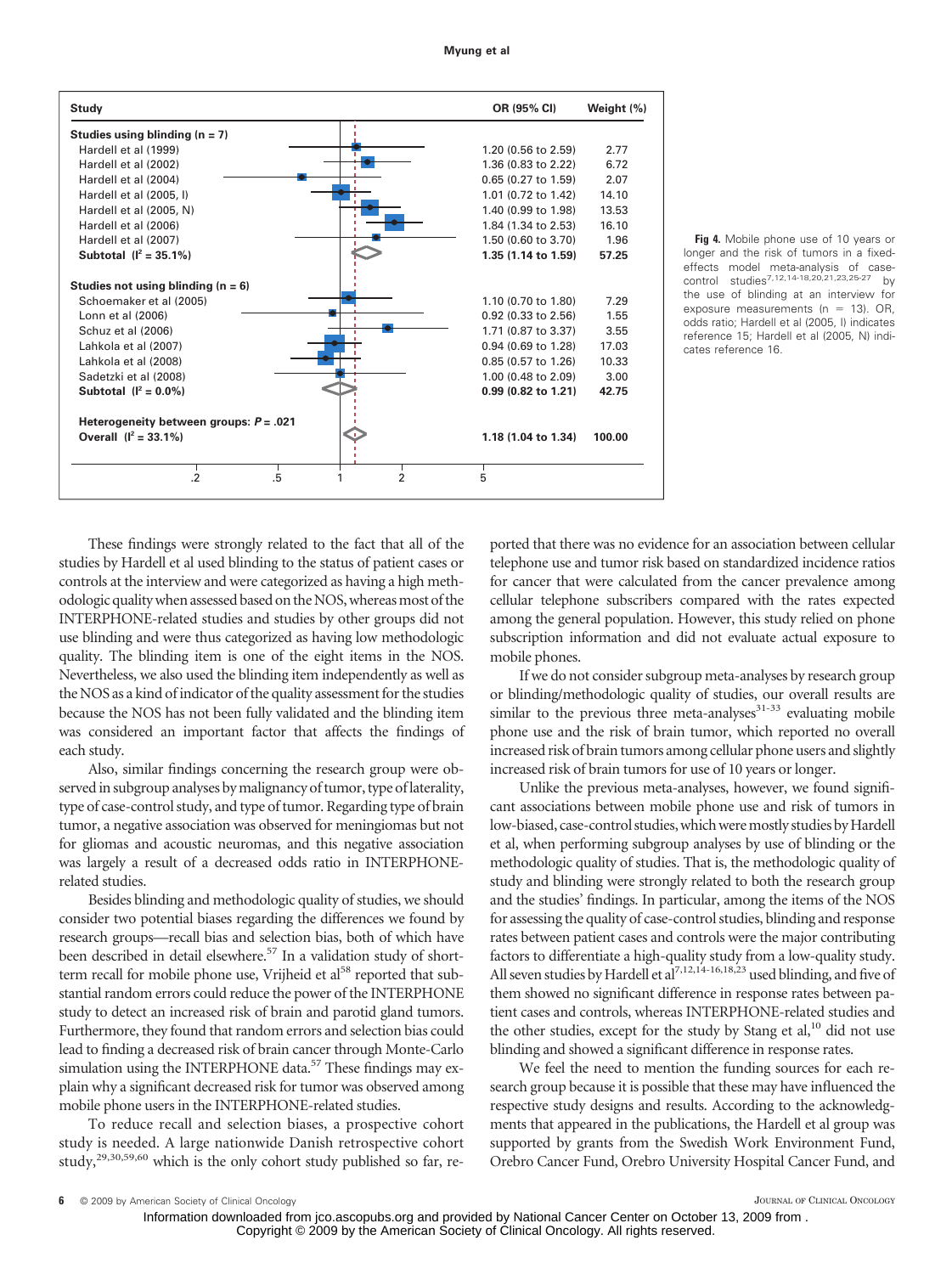

**Fig 4.** Mobile phone use of 10 years or longer and the risk of tumors in a fixedeffects model meta-analysis of casecontrol studies<sup>7,12,14-18,20,21,23,25-27</sup> by the use of blinding at an interview for exposure measurements ( $n = 13$ ). OR, odds ratio; Hardell et al (2005, I) indicates reference 15; Hardell et al (2005, N) indicates reference 16.

These findings were strongly related to the fact that all of the studies by Hardell et al used blinding to the status of patient cases or controls at the interview and were categorized as having a high methodologic quality when assessed based on the NOS, whereas most of the INTERPHONE-related studies and studies by other groups did not use blinding and were thus categorized as having low methodologic quality. The blinding item is one of the eight items in the NOS. Nevertheless, we also used the blinding item independently as well as the NOS as a kind of indicator of the quality assessment for the studies because the NOS has not been fully validated and the blinding item was considered an important factor that affects the findings of each study.

Also, similar findings concerning the research group were observed in subgroup analyses by malignancy of tumor, type of laterality, type of case-control study, and type of tumor. Regarding type of brain tumor, a negative association was observed for meningiomas but not for gliomas and acoustic neuromas, and this negative association was largely a result of a decreased odds ratio in INTERPHONErelated studies.

Besides blinding and methodologic quality of studies, we should consider two potential biases regarding the differences we found by research groups—recall bias and selection bias, both of which have been described in detail elsewhere.<sup>57</sup> In a validation study of shortterm recall for mobile phone use, Vrijheid et al<sup>58</sup> reported that substantial random errors could reduce the power of the INTERPHONE study to detect an increased risk of brain and parotid gland tumors. Furthermore, they found that random errors and selection bias could lead to finding a decreased risk of brain cancer through Monte-Carlo simulation using the INTERPHONE data.<sup>57</sup> These findings may explain why a significant decreased risk for tumor was observed among mobile phone users in the INTERPHONE-related studies.

To reduce recall and selection biases, a prospective cohort study is needed. A large nationwide Danish retrospective cohort study,29,30,59,60 which is the only cohort study published so far, reported that there was no evidence for an association between cellular telephone use and tumor risk based on standardized incidence ratios for cancer that were calculated from the cancer prevalence among cellular telephone subscribers compared with the rates expected among the general population. However, this study relied on phone subscription information and did not evaluate actual exposure to mobile phones.

If we do not consider subgroup meta-analyses by research group or blinding/methodologic quality of studies, our overall results are similar to the previous three meta-analyses $31-33$  evaluating mobile phone use and the risk of brain tumor, which reported no overall increased risk of brain tumors among cellular phone users and slightly increased risk of brain tumors for use of 10 years or longer.

Unlike the previous meta-analyses, however, we found significant associations between mobile phone use and risk of tumors in low-biased, case-control studies, which were mostly studies by Hardell et al, when performing subgroup analyses by use of blinding or the methodologic quality of studies. That is, the methodologic quality of study and blinding were strongly related to both the research group and the studies' findings. In particular, among the items of the NOS for assessing the quality of case-control studies, blinding and response rates between patient cases and controls were the major contributing factors to differentiate a high-quality study from a low-quality study. All seven studies by Hardell et al<sup>7,12,14-16,18,23</sup> used blinding, and five of them showed no significant difference in response rates between patient cases and controls, whereas INTERPHONE-related studies and the other studies, except for the study by Stang et al, $^{10}$  did not use blinding and showed a significant difference in response rates.

We feel the need to mention the funding sources for each research group because it is possible that these may have influenced the respective study designs and results. According to the acknowledgments that appeared in the publications, the Hardell et al group was supported by grants from the Swedish Work Environment Fund, Orebro Cancer Fund, Orebro University Hospital Cancer Fund, and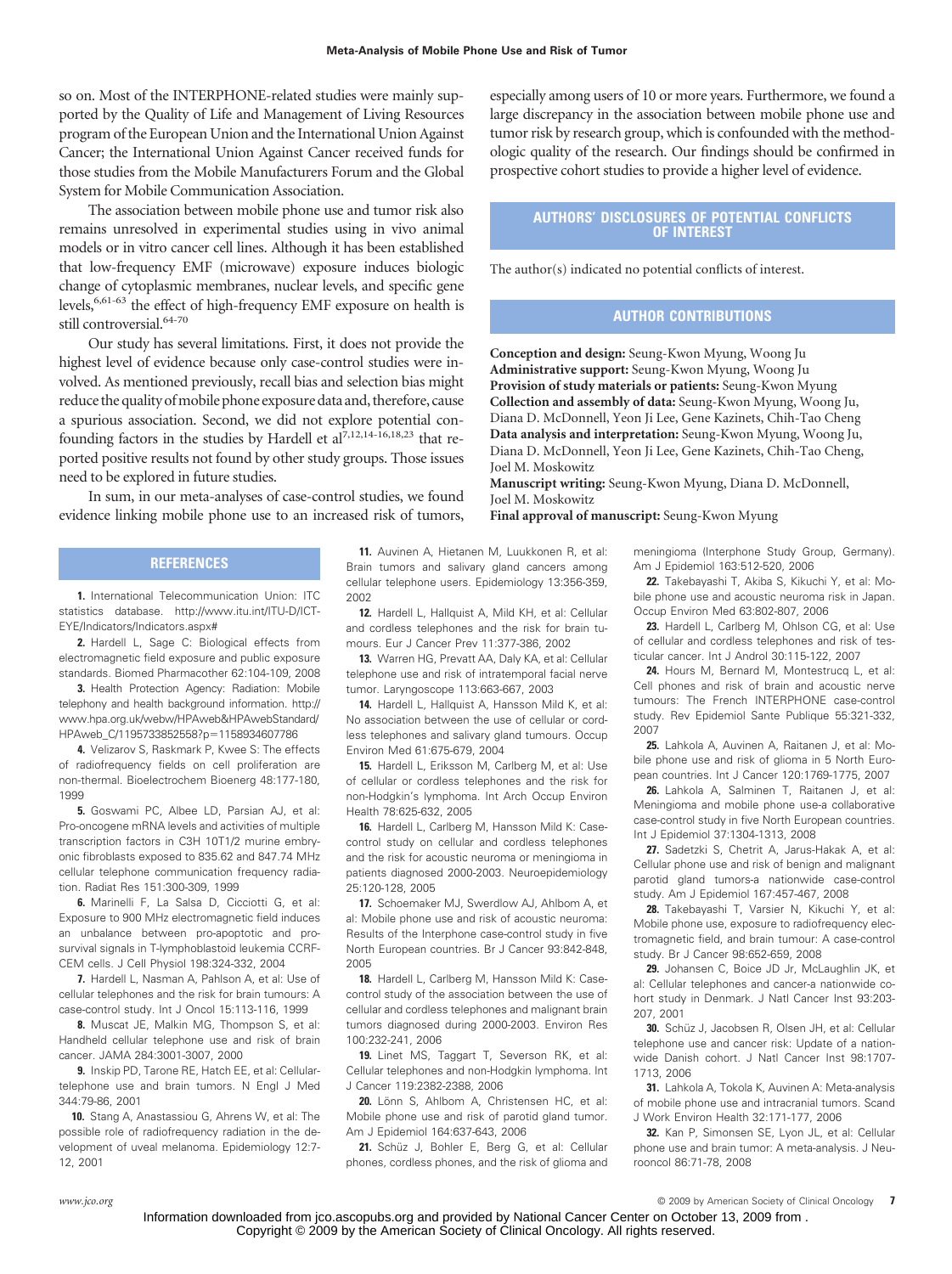so on. Most of the INTERPHONE-related studies were mainly supported by the Quality of Life and Management of Living Resources program of the European Union and the International Union Against Cancer; the International Union Against Cancer received funds for those studies from the Mobile Manufacturers Forum and the Global System for Mobile Communication Association.

The association between mobile phone use and tumor risk also remains unresolved in experimental studies using in vivo animal models or in vitro cancer cell lines. Although it has been established that low-frequency EMF (microwave) exposure induces biologic change of cytoplasmic membranes, nuclear levels, and specific gene levels,6,61-63 the effect of high-frequency EMF exposure on health is still controversial.<sup>64-70</sup>

Our study has several limitations. First, it does not provide the highest level of evidence because only case-control studies were involved. As mentioned previously, recall bias and selection bias might reduce the quality of mobile phone exposure data and, therefore, cause a spurious association. Second, we did not explore potential confounding factors in the studies by Hardell et al<sup>7,12,14-16,18,23</sup> that reported positive results not found by other study groups. Those issues need to be explored in future studies.

In sum, in our meta-analyses of case-control studies, we found evidence linking mobile phone use to an increased risk of tumors,

2002

# **REFERENCES**

**1.** International Telecommunication Union: ITC statistics database. http://www.itu.int/ITU-D/ICT-EYE/Indicators/Indicators.aspx#

**2.** Hardell L, Sage C: Biological effects from electromagnetic field exposure and public exposure standards. Biomed Pharmacother 62:104-109, 2008

**3.** Health Protection Agency: Radiation: Mobile telephony and health background information. http:// www.hpa.org.uk/webw/HPAweb&HPAwebStandard/ HPAweb\_C/1195733852558?p=1158934607786

**4.** Velizarov S, Raskmark P, Kwee S: The effects of radiofrequency fields on cell proliferation are non-thermal. Bioelectrochem Bioenerg 48:177-180, 1999

**5.** Goswami PC, Albee LD, Parsian AJ, et al: Pro-oncogene mRNA levels and activities of multiple transcription factors in C3H 10T1/2 murine embryonic fibroblasts exposed to 835.62 and 847.74 MHz cellular telephone communication frequency radiation. Radiat Res 151:300-309, 1999

**6.** Marinelli F, La Salsa D, Cicciotti G, et al: Exposure to 900 MHz electromagnetic field induces an unbalance between pro-apoptotic and prosurvival signals in T-lymphoblastoid leukemia CCRF-CEM cells. J Cell Physiol 198:324-332, 2004

**7.** Hardell L, Nasman A, Pahlson A, et al: Use of cellular telephones and the risk for brain tumours: A case-control study. Int J Oncol 15:113-116, 1999

**8.** Muscat JE, Malkin MG, Thompson S, et al: Handheld cellular telephone use and risk of brain cancer. JAMA 284:3001-3007, 2000

**9.** Inskip PD, Tarone RE, Hatch EE, et al: Cellulartelephone use and brain tumors. N Engl J Med 344:79-86, 2001

**10.** Stang A, Anastassiou G, Ahrens W, et al: The possible role of radiofrequency radiation in the development of uveal melanoma. Epidemiology 12:7- 12, 2001

**11.** Auvinen A, Hietanen M, Luukkonen R, et al: Brain tumors and salivary gland cancers among cellular telephone users. Epidemiology 13:356-359,

**12.** Hardell L, Hallquist A, Mild KH, et al: Cellular and cordless telephones and the risk for brain tumours. Eur J Cancer Prev 11:377-386, 2002

**13.** Warren HG, Prevatt AA, Daly KA, et al: Cellular telephone use and risk of intratemporal facial nerve tumor. Laryngoscope 113:663-667, 2003

**14.** Hardell L, Hallquist A, Hansson Mild K, et al: No association between the use of cellular or cordless telephones and salivary gland tumours. Occup Environ Med 61:675-679, 2004

**15.** Hardell L, Eriksson M, Carlberg M, et al: Use of cellular or cordless telephones and the risk for non-Hodgkin's lymphoma. Int Arch Occup Environ Health 78:625-632, 2005

**16.** Hardell L, Carlberg M, Hansson Mild K: Casecontrol study on cellular and cordless telephones and the risk for acoustic neuroma or meningioma in patients diagnosed 2000-2003. Neuroepidemiology 25:120-128, 2005

**17.** Schoemaker MJ, Swerdlow AJ, Ahlbom A, et al: Mobile phone use and risk of acoustic neuroma: Results of the Interphone case-control study in five North European countries. Br J Cancer 93:842-848, 2005

**18.** Hardell L, Carlberg M, Hansson Mild K: Casecontrol study of the association between the use of cellular and cordless telephones and malignant brain tumors diagnosed during 2000-2003. Environ Res 100:232-241, 2006

**19.** Linet MS, Taggart T, Severson RK, et al: Cellular telephones and non-Hodgkin lymphoma. Int J Cancer 119:2382-2388, 2006

20. Lönn S, Ahlbom A, Christensen HC, et al: Mobile phone use and risk of parotid gland tumor. Am J Epidemiol 164:637-643, 2006

21. Schüz J, Bohler E, Berg G, et al: Cellular phones, cordless phones, and the risk of glioma and

especially among users of 10 or more years. Furthermore, we found a large discrepancy in the association between mobile phone use and tumor risk by research group, which is confounded with the methodologic quality of the research. Our findings should be confirmed in prospective cohort studies to provide a higher level of evidence.

# **AUTHORS' DISCLOSURES OF POTENTIAL CONFLICTS OF INTEREST**

The author(s) indicated no potential conflicts of interest.

## **AUTHOR CONTRIBUTIONS**

**Conception and design:** Seung-Kwon Myung, Woong Ju **Administrative support:** Seung-Kwon Myung, Woong Ju **Provision of study materials or patients:** Seung-Kwon Myung **Collection and assembly of data:** Seung-Kwon Myung, Woong Ju, Diana D. McDonnell, Yeon Ji Lee, Gene Kazinets, Chih-Tao Cheng **Data analysis and interpretation:** Seung-Kwon Myung, Woong Ju, Diana D. McDonnell, Yeon Ji Lee, Gene Kazinets, Chih-Tao Cheng, Joel M. Moskowitz

**Manuscript writing:** Seung-Kwon Myung, Diana D. McDonnell, Joel M. Moskowitz

**Final approval of manuscript:** Seung-Kwon Myung

meningioma (Interphone Study Group, Germany). Am J Epidemiol 163:512-520, 2006

**22.** Takebayashi T, Akiba S, Kikuchi Y, et al: Mobile phone use and acoustic neuroma risk in Japan. Occup Environ Med 63:802-807, 2006

**23.** Hardell L, Carlberg M, Ohlson CG, et al: Use of cellular and cordless telephones and risk of testicular cancer. Int J Androl 30:115-122, 2007

**24.** Hours M, Bernard M, Montestrucq L, et al: Cell phones and risk of brain and acoustic nerve tumours: The French INTERPHONE case-control study. Rev Epidemiol Sante Publique 55:321-332, 2007

**25.** Lahkola A, Auvinen A, Raitanen J, et al: Mobile phone use and risk of glioma in 5 North European countries. Int J Cancer 120:1769-1775, 2007

**26.** Lahkola A, Salminen T, Raitanen J, et al: Meningioma and mobile phone use-a collaborative case-control study in five North European countries. Int J Epidemiol 37:1304-1313, 2008

**27.** Sadetzki S, Chetrit A, Jarus-Hakak A, et al: Cellular phone use and risk of benign and malignant parotid gland tumors-a nationwide case-control study. Am J Epidemiol 167:457-467, 2008

**28.** Takebayashi T, Varsier N, Kikuchi Y, et al: Mobile phone use, exposure to radiofrequency electromagnetic field, and brain tumour: A case-control study. Br J Cancer 98:652-659, 2008

**29.** Johansen C, Boice JD Jr, McLaughlin JK, et al: Cellular telephones and cancer-a nationwide cohort study in Denmark. J Natl Cancer Inst 93:203- 207, 2001

30. Schüz J, Jacobsen R, Olsen JH, et al: Cellular telephone use and cancer risk: Update of a nationwide Danish cohort. J Natl Cancer Inst 98:1707- 1713, 2006

**31.** Lahkola A, Tokola K, Auvinen A: Meta-analysis of mobile phone use and intracranial tumors. Scand J Work Environ Health 32:171-177, 2006

**32.** Kan P, Simonsen SE, Lyon JL, et al: Cellular phone use and brain tumor: A meta-analysis. J Neurooncol 86:71-78, 2008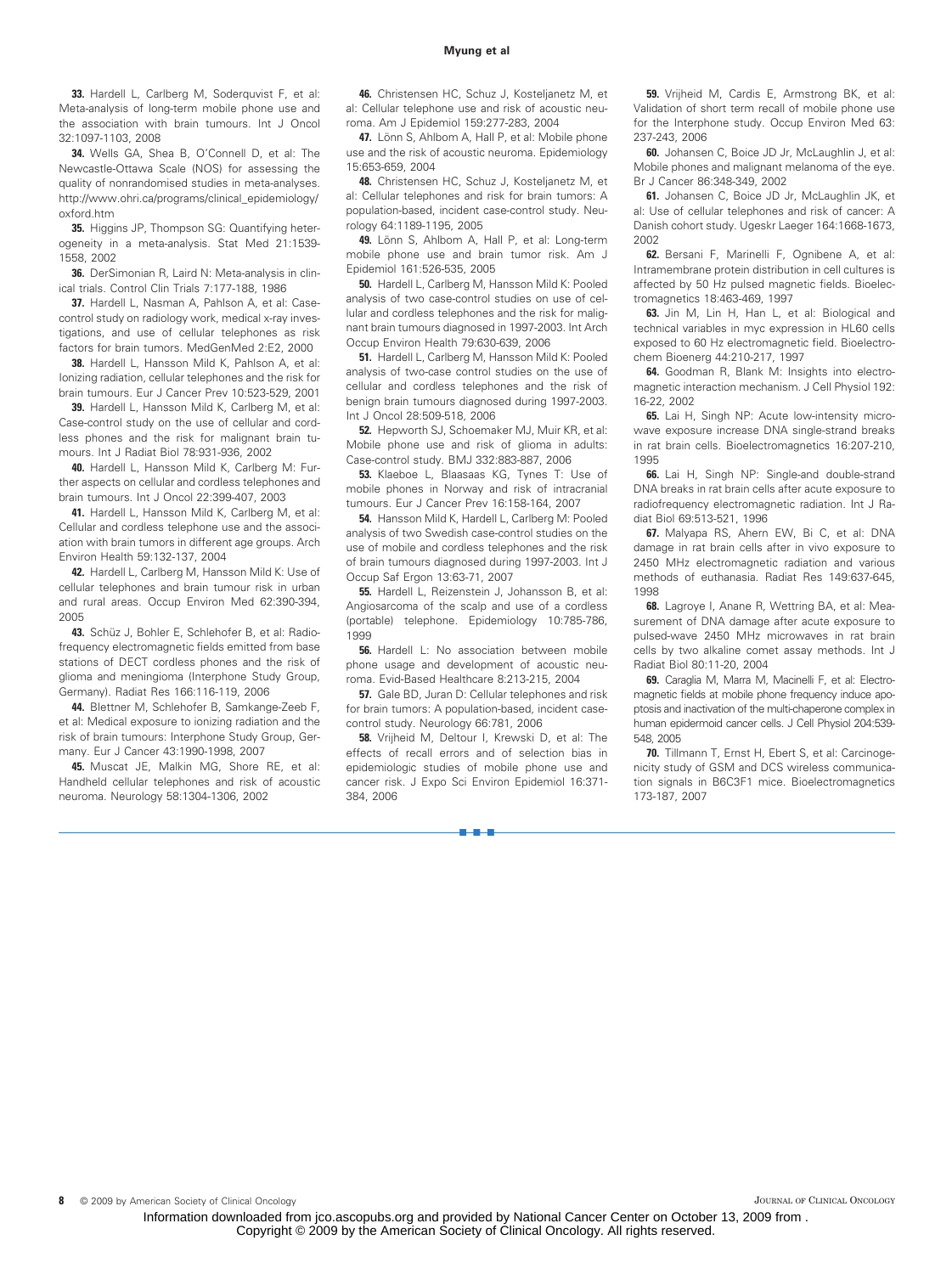**34.** Wells GA, Shea B, O'Connell D, et al: The Newcastle-Ottawa Scale (NOS) for assessing the quality of nonrandomised studies in meta-analyses. http://www.ohri.ca/programs/clinical\_epidemiology/ oxford.htm

**35.** Higgins JP, Thompson SG: Quantifying heterogeneity in a meta-analysis. Stat Med 21:1539- 1558, 2002

**36.** DerSimonian R, Laird N: Meta-analysis in clinical trials. Control Clin Trials 7:177-188, 1986

**37.** Hardell L, Nasman A, Pahlson A, et al: Casecontrol study on radiology work, medical x-ray investigations, and use of cellular telephones as risk factors for brain tumors. MedGenMed 2:E2, 2000

**38.** Hardell L, Hansson Mild K, Pahlson A, et al: Ionizing radiation, cellular telephones and the risk for brain tumours. Eur J Cancer Prev 10:523-529, 2001

**39.** Hardell L, Hansson Mild K, Carlberg M, et al: Case-control study on the use of cellular and cordless phones and the risk for malignant brain tumours. Int J Radiat Biol 78:931-936, 2002

**40.** Hardell L, Hansson Mild K, Carlberg M: Further aspects on cellular and cordless telephones and brain tumours. Int J Oncol 22:399-407, 2003

**41.** Hardell L, Hansson Mild K, Carlberg M, et al: Cellular and cordless telephone use and the association with brain tumors in different age groups. Arch Environ Health 59:132-137, 2004

**42.** Hardell L, Carlberg M, Hansson Mild K: Use of cellular telephones and brain tumour risk in urban and rural areas. Occup Environ Med 62:390-394, 2005

43. Schüz J, Bohler E, Schlehofer B, et al: Radiofrequency electromagnetic fields emitted from base stations of DECT cordless phones and the risk of glioma and meningioma (Interphone Study Group, Germany). Radiat Res 166:116-119, 2006

**44.** Blettner M, Schlehofer B, Samkange-Zeeb F, et al: Medical exposure to ionizing radiation and the risk of brain tumours: Interphone Study Group, Germany. Eur J Cancer 43:1990-1998, 2007

**45.** Muscat JE, Malkin MG, Shore RE, et al: Handheld cellular telephones and risk of acoustic neuroma. Neurology 58:1304-1306, 2002

**46.** Christensen HC, Schuz J, Kosteljanetz M, et al: Cellular telephone use and risk of acoustic neuroma. Am J Epidemiol 159:277-283, 2004

47. Lönn S, Ahlbom A, Hall P, et al: Mobile phone use and the risk of acoustic neuroma. Epidemiology 15:653-659, 2004

**48.** Christensen HC, Schuz J, Kosteljanetz M, et al: Cellular telephones and risk for brain tumors: A population-based, incident case-control study. Neurology 64:1189-1195, 2005

49. Lönn S, Ahlbom A, Hall P, et al: Long-term mobile phone use and brain tumor risk. Am J Epidemiol 161:526-535, 2005

**50.** Hardell L, Carlberg M, Hansson Mild K: Pooled analysis of two case-control studies on use of cellular and cordless telephones and the risk for malignant brain tumours diagnosed in 1997-2003. Int Arch Occup Environ Health 79:630-639, 2006

**51.** Hardell L, Carlberg M, Hansson Mild K: Pooled analysis of two-case control studies on the use of cellular and cordless telephones and the risk of benign brain tumours diagnosed during 1997-2003. Int J Oncol 28:509-518, 2006

**52.** Hepworth SJ, Schoemaker MJ, Muir KR, et al: Mobile phone use and risk of glioma in adults: Case-control study. BMJ 332:883-887, 2006

**53.** Klaeboe L, Blaasaas KG, Tynes T: Use of mobile phones in Norway and risk of intracranial tumours. Eur J Cancer Prev 16:158-164, 2007

**54.** Hansson Mild K, Hardell L, Carlberg M: Pooled analysis of two Swedish case-control studies on the use of mobile and cordless telephones and the risk of brain tumours diagnosed during 1997-2003. Int J Occup Saf Ergon 13:63-71, 2007

**55.** Hardell L, Reizenstein J, Johansson B, et al: Angiosarcoma of the scalp and use of a cordless (portable) telephone. Epidemiology 10:785-786, 1999

**56.** Hardell L: No association between mobile phone usage and development of acoustic neuroma. Evid-Based Healthcare 8:213-215, 2004

**57.** Gale BD, Juran D: Cellular telephones and risk for brain tumors: A population-based, incident casecontrol study. Neurology 66:781, 2006

**58.** Vrijheid M, Deltour I, Krewski D, et al: The effects of recall errors and of selection bias in epidemiologic studies of mobile phone use and cancer risk. J Expo Sci Environ Epidemiol 16:371- 384, 2006

■■■

**59.** Vrijheid M, Cardis E, Armstrong BK, et al: Validation of short term recall of mobile phone use for the Interphone study. Occup Environ Med 63: 237-243, 2006

**60.** Johansen C, Boice JD Jr, McLaughlin J, et al: Mobile phones and malignant melanoma of the eye. Br J Cancer 86:348-349, 2002

**61.** Johansen C, Boice JD Jr, McLaughlin JK, et al: Use of cellular telephones and risk of cancer: A Danish cohort study. Ugeskr Laeger 164:1668-1673, 2002

**62.** Bersani F, Marinelli F, Ognibene A, et al: Intramembrane protein distribution in cell cultures is affected by 50 Hz pulsed magnetic fields. Bioelectromagnetics 18:463-469, 1997

**63.** Jin M, Lin H, Han L, et al: Biological and technical variables in myc expression in HL60 cells exposed to 60 Hz electromagnetic field. Bioelectrochem Bioenerg 44:210-217, 1997

**64.** Goodman R, Blank M: Insights into electromagnetic interaction mechanism. J Cell Physiol 192: 16-22, 2002

**65.** Lai H, Singh NP: Acute low-intensity microwave exposure increase DNA single-strand breaks in rat brain cells. Bioelectromagnetics 16:207-210, 1995

**66.** Lai H, Singh NP: Single-and double-strand DNA breaks in rat brain cells after acute exposure to radiofrequency electromagnetic radiation. Int J Radiat Biol 69:513-521, 1996

**67.** Malyapa RS, Ahern EW, Bi C, et al: DNA damage in rat brain cells after in vivo exposure to 2450 MHz electromagnetic radiation and various methods of euthanasia. Radiat Res 149:637-645, 1998

**68.** Lagroye I, Anane R, Wettring BA, et al: Measurement of DNA damage after acute exposure to pulsed-wave 2450 MHz microwaves in rat brain cells by two alkaline comet assay methods. Int J Radiat Biol 80:11-20, 2004

**69.** Caraglia M, Marra M, Macinelli F, et al: Electromagnetic fields at mobile phone frequency induce apoptosis and inactivation of the multi-chaperone complex in human epidermoid cancer cells. J Cell Physiol 204:539- 548, 2005

**70.** Tillmann T, Ernst H, Ebert S, et al: Carcinogenicity study of GSM and DCS wireless communication signals in B6C3F1 mice. Bioelectromagnetics 173-187, 2007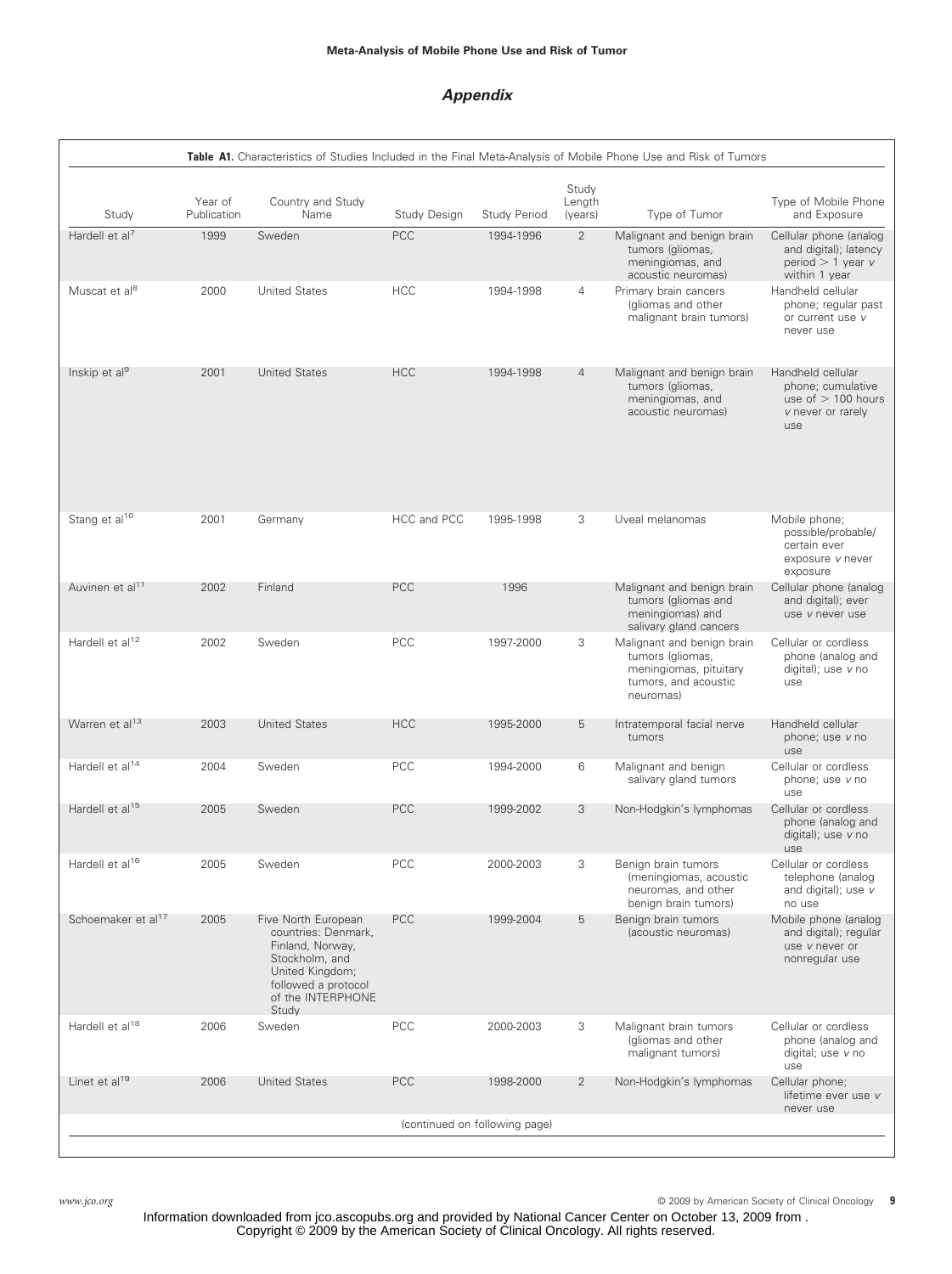# *Appendix*

|                                |                        |                                                                                                                                                          |              |                               |                            | Table A1. Characteristics of Studies Included in the Final Meta-Analysis of Mobile Phone Use and Risk of Tumors |                                                                                            |
|--------------------------------|------------------------|----------------------------------------------------------------------------------------------------------------------------------------------------------|--------------|-------------------------------|----------------------------|-----------------------------------------------------------------------------------------------------------------|--------------------------------------------------------------------------------------------|
| Study                          | Year of<br>Publication | Country and Study<br>Name                                                                                                                                | Study Design | <b>Study Period</b>           | Study<br>Length<br>(years) | Type of Tumor                                                                                                   | Type of Mobile Phone<br>and Exposure                                                       |
| Hardell et al <sup>7</sup>     | 1999                   | Sweden                                                                                                                                                   | <b>PCC</b>   | 1994-1996                     | $\overline{2}$             | Malignant and benign brain<br>tumors (gliomas,<br>meningiomas, and<br>acoustic neuromas)                        | Cellular phone (analog<br>and digital); latency<br>period $> 1$ year v<br>within 1 year    |
| Muscat et al <sup>8</sup>      | 2000                   | <b>United States</b>                                                                                                                                     | <b>HCC</b>   | 1994-1998                     | 4                          | Primary brain cancers<br>(gliomas and other<br>malignant brain tumors)                                          | Handheld cellular<br>phone; regular past<br>or current use v<br>never use                  |
| Inskip et al <sup>9</sup>      | 2001                   | <b>United States</b>                                                                                                                                     | <b>HCC</b>   | 1994-1998                     | $\overline{4}$             | Malignant and benign brain<br>tumors (gliomas,<br>meningiomas, and<br>acoustic neuromas)                        | Handheld cellular<br>phone; cumulative<br>use of $> 100$ hours<br>v never or rarely<br>use |
| Stang et al <sup>10</sup>      | 2001                   | Germany                                                                                                                                                  | HCC and PCC  | 1995-1998                     | 3                          | Uveal melanomas                                                                                                 | Mobile phone;<br>possible/probable/<br>certain ever<br>exposure v never<br>exposure        |
| Auvinen et al <sup>11</sup>    | 2002                   | Finland                                                                                                                                                  | <b>PCC</b>   | 1996                          |                            | Malignant and benign brain<br>tumors (gliomas and<br>meningiomas) and<br>salivary gland cancers                 | Cellular phone (analog<br>and digital); ever<br>use v never use                            |
| Hardell et al <sup>12</sup>    | 2002                   | Sweden                                                                                                                                                   | PCC          | 1997-2000                     | 3                          | Malignant and benign brain<br>tumors (gliomas,<br>meningiomas, pituitary<br>tumors, and acoustic<br>neuromas)   | Cellular or cordless<br>phone (analog and<br>digital); use v no<br>use                     |
| Warren et al <sup>13</sup>     | 2003                   | <b>United States</b>                                                                                                                                     | <b>HCC</b>   | 1995-2000                     | 5                          | Intratemporal facial nerve<br>tumors                                                                            | Handheld cellular<br>phone; use v no<br>use                                                |
| Hardell et al <sup>14</sup>    | 2004                   | Sweden                                                                                                                                                   | <b>PCC</b>   | 1994-2000                     | 6                          | Malignant and benign<br>salivary gland tumors                                                                   | Cellular or cordless<br>phone; use v no<br>use                                             |
| Hardell et al <sup>15</sup>    | 2005                   | Sweden                                                                                                                                                   | <b>PCC</b>   | 1999-2002                     | 3                          | Non-Hodgkin's lymphomas                                                                                         | Cellular or cordless<br>phone (analog and<br>digital); use v no<br>use                     |
| Hardell et al <sup>16</sup>    | 2005                   | Sweden                                                                                                                                                   | <b>PCC</b>   | 2000-2003                     | 3                          | Benign brain tumors<br>(meningiomas, acoustic<br>neuromas, and other<br>benign brain tumors)                    | Cellular or cordless<br>telephone (analog<br>and digital); use $v$<br>no use               |
| Schoemaker et al <sup>17</sup> | 2005                   | Five North European<br>countries: Denmark.<br>Finland, Norway,<br>Stockholm, and<br>United Kingdom;<br>followed a protocol<br>of the INTERPHONE<br>Study | <b>PCC</b>   | 1999-2004                     | 5                          | Benign brain tumors<br>(acoustic neuromas)                                                                      | Mobile phone (analog<br>and digital); regular<br>use v never or<br>nonregular use          |
| Hardell et al <sup>18</sup>    | 2006                   | Sweden                                                                                                                                                   | <b>PCC</b>   | 2000-2003                     | 3                          | Malignant brain tumors<br>(gliomas and other<br>malignant tumors)                                               | Cellular or cordless<br>phone (analog and<br>digital; use v no<br>use                      |
| Linet et al <sup>19</sup>      | 2006                   | <b>United States</b>                                                                                                                                     | <b>PCC</b>   | 1998-2000                     | 2                          | Non-Hodgkin's lymphomas                                                                                         | Cellular phone;<br>lifetime ever use v<br>never use                                        |
|                                |                        |                                                                                                                                                          |              | (continued on following page) |                            |                                                                                                                 |                                                                                            |

**a** 2009 by American Society of Clinical Oncology **9** 2009 by American Society of Clinical Oncology **9** 

Information downloaded from jco.ascopubs.org and provided by National Cancer Center on October 13, 2009 from .<br>Copyright © 2009 by the American Society of Clinical Oncology. All rights reserved.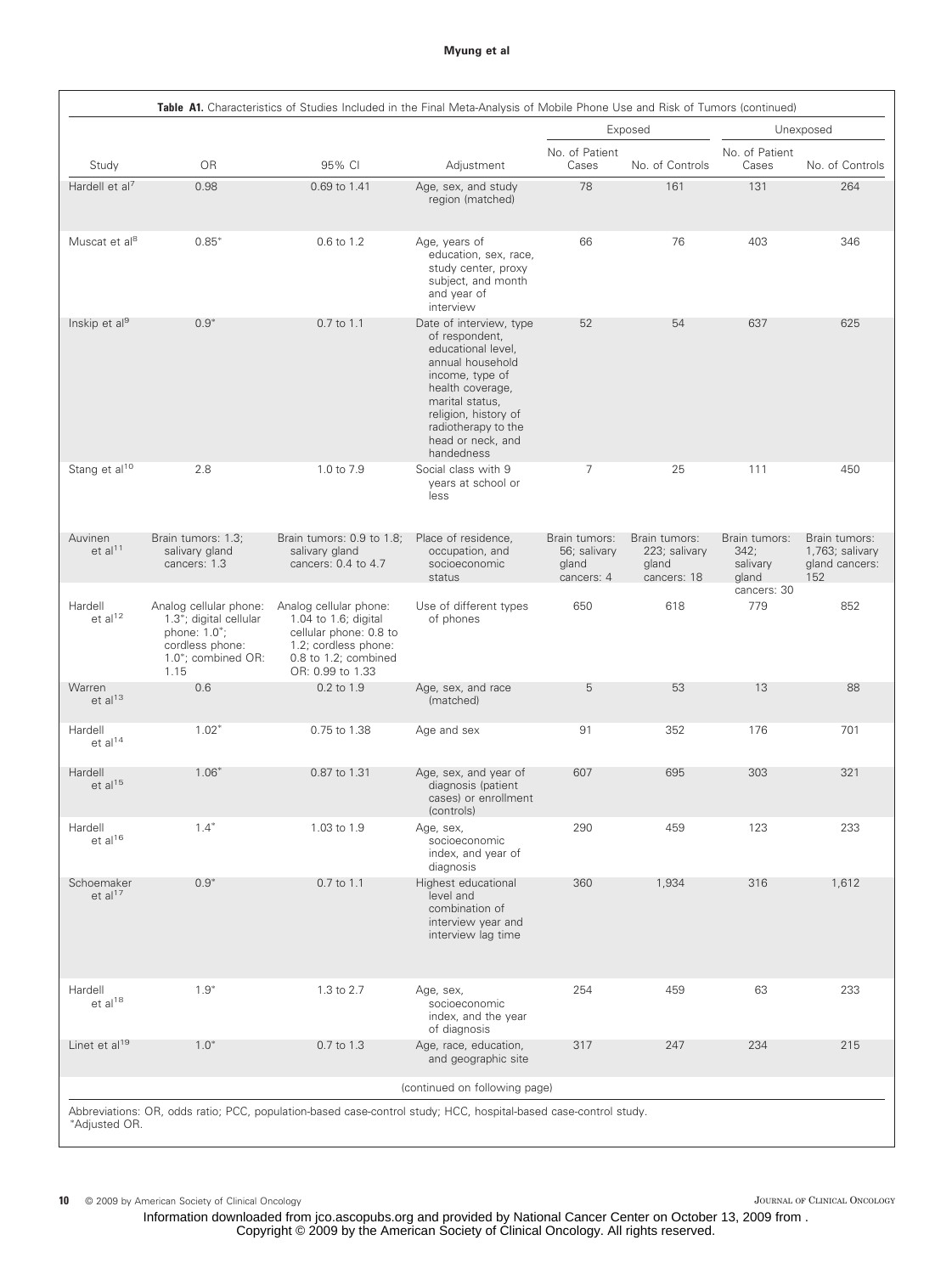# **Myung et al**

|                                   |                                                                                                                   |                                                                                                                                              | Table A1. Characteristics of Studies Included in the Final Meta-Analysis of Mobile Phone Use and Risk of Tumors (continued)                                                                                                     |                                                      |                                                        |                                            |                                                           |
|-----------------------------------|-------------------------------------------------------------------------------------------------------------------|----------------------------------------------------------------------------------------------------------------------------------------------|---------------------------------------------------------------------------------------------------------------------------------------------------------------------------------------------------------------------------------|------------------------------------------------------|--------------------------------------------------------|--------------------------------------------|-----------------------------------------------------------|
|                                   |                                                                                                                   |                                                                                                                                              |                                                                                                                                                                                                                                 |                                                      | Exposed                                                |                                            | Unexposed                                                 |
| Study                             | OR                                                                                                                | 95% CI                                                                                                                                       | Adjustment                                                                                                                                                                                                                      | No. of Patient<br>Cases                              | No. of Controls                                        | No. of Patient<br>Cases                    | No. of Controls                                           |
| Hardell et al <sup>7</sup>        | 0.98                                                                                                              | 0.69 to 1.41                                                                                                                                 | Age, sex, and study<br>region (matched)                                                                                                                                                                                         | 78                                                   | 161                                                    | 131                                        | 264                                                       |
| Muscat et al <sup>8</sup>         | $0.85*$                                                                                                           | 0.6 to 1.2                                                                                                                                   | Age, years of<br>education, sex, race,<br>study center, proxy<br>subject, and month<br>and year of<br>interview                                                                                                                 | 66                                                   | 76                                                     | 403                                        | 346                                                       |
| Inskip et al <sup>9</sup>         | $0.9*$                                                                                                            | 0.7 to 1.1                                                                                                                                   | Date of interview, type<br>of respondent,<br>educational level,<br>annual household<br>income, type of<br>health coverage,<br>marital status,<br>religion, history of<br>radiotherapy to the<br>head or neck, and<br>handedness | 52                                                   | 54                                                     | 637                                        | 625                                                       |
| Stang et al <sup>10</sup>         | 2.8                                                                                                               | 1.0 to 7.9                                                                                                                                   | Social class with 9<br>years at school or<br>less                                                                                                                                                                               | $\overline{7}$                                       | 25                                                     | 111                                        | 450                                                       |
| Auvinen<br>et al <sup>11</sup>    | Brain tumors: 1.3;<br>salivary gland<br>cancers: 1.3                                                              | Brain tumors: 0.9 to 1.8;<br>salivary gland<br>cancers: 0.4 to 4.7                                                                           | Place of residence,<br>occupation, and<br>socioeconomic<br>status                                                                                                                                                               | Brain tumors:<br>56; salivary<br>gland<br>cancers: 4 | Brain tumors:<br>223; salivary<br>gland<br>cancers: 18 | Brain tumors:<br>342:<br>salivary<br>gland | Brain tumors:<br>1,763; salivary<br>gland cancers:<br>152 |
| Hardell<br>et al <sup>12</sup>    | Analog cellular phone:<br>1.3*; digital cellular<br>phone: 1.0*;<br>cordless phone:<br>1.0*; combined OR:<br>1.15 | Analog cellular phone:<br>1.04 to 1.6; digital<br>cellular phone: 0.8 to<br>1.2; cordless phone:<br>0.8 to 1.2; combined<br>OR: 0.99 to 1.33 | Use of different types<br>of phones                                                                                                                                                                                             | 650                                                  | 618                                                    | cancers: 30<br>779                         | 852                                                       |
| Warren<br>et al <sup>13</sup>     | 0.6                                                                                                               | 0.2 to 1.9                                                                                                                                   | Age, sex, and race<br>(matched)                                                                                                                                                                                                 | 5                                                    | 53                                                     | 13                                         | 88                                                        |
| Hardell<br>et al <sup>14</sup>    | $1.02*$                                                                                                           | 0.75 to 1.38                                                                                                                                 | Age and sex                                                                                                                                                                                                                     | 91                                                   | 352                                                    | 176                                        | 701                                                       |
| Hardell<br>et al <sup>15</sup>    | $1.06*$                                                                                                           | 0.87 to 1.31                                                                                                                                 | Age, sex, and year of<br>diagnosis (patient<br>cases) or enrollment<br>(controls)                                                                                                                                               | 607                                                  | 695                                                    | 303                                        | 321                                                       |
| Hardell<br>et al <sup>16</sup>    | $1.4*$                                                                                                            | 1.03 to 1.9                                                                                                                                  | Age, sex,<br>socioeconomic<br>index, and year of<br>diagnosis                                                                                                                                                                   | 290                                                  | 459                                                    | 123                                        | 233                                                       |
| Schoemaker<br>et al <sup>17</sup> | $0.9*$                                                                                                            | 0.7 to 1.1                                                                                                                                   | Highest educational<br>level and<br>combination of<br>interview year and<br>interview lag time                                                                                                                                  | 360                                                  | 1,934                                                  | 316                                        | 1,612                                                     |
| Hardell<br>$\rm et~al^{18}$       | $1.9*$                                                                                                            | 1.3 to 2.7                                                                                                                                   | Age, sex,<br>socioeconomic<br>index, and the year<br>of diagnosis                                                                                                                                                               | 254                                                  | 459                                                    | 63                                         | 233                                                       |
| Linet et al <sup>19</sup>         | $1.0*$                                                                                                            | 0.7 to 1.3                                                                                                                                   | Age, race, education,<br>and geographic site                                                                                                                                                                                    | 317                                                  | 247                                                    | 234                                        | 215                                                       |
|                                   |                                                                                                                   |                                                                                                                                              | (continued on following page)                                                                                                                                                                                                   |                                                      |                                                        |                                            |                                                           |

**10** © 2009 by American Society of Clinical Oncology **JOURNAL OF CLINICAL ONCOLOGY** JOURNAL OF CLINICAL ONCOLOGY

Information downloaded from jco.ascopubs.org and provided by National Cancer Center on October 13, 2009 from .<br>Copyright © 2009 by the American Society of Clinical Oncology. All rights reserved.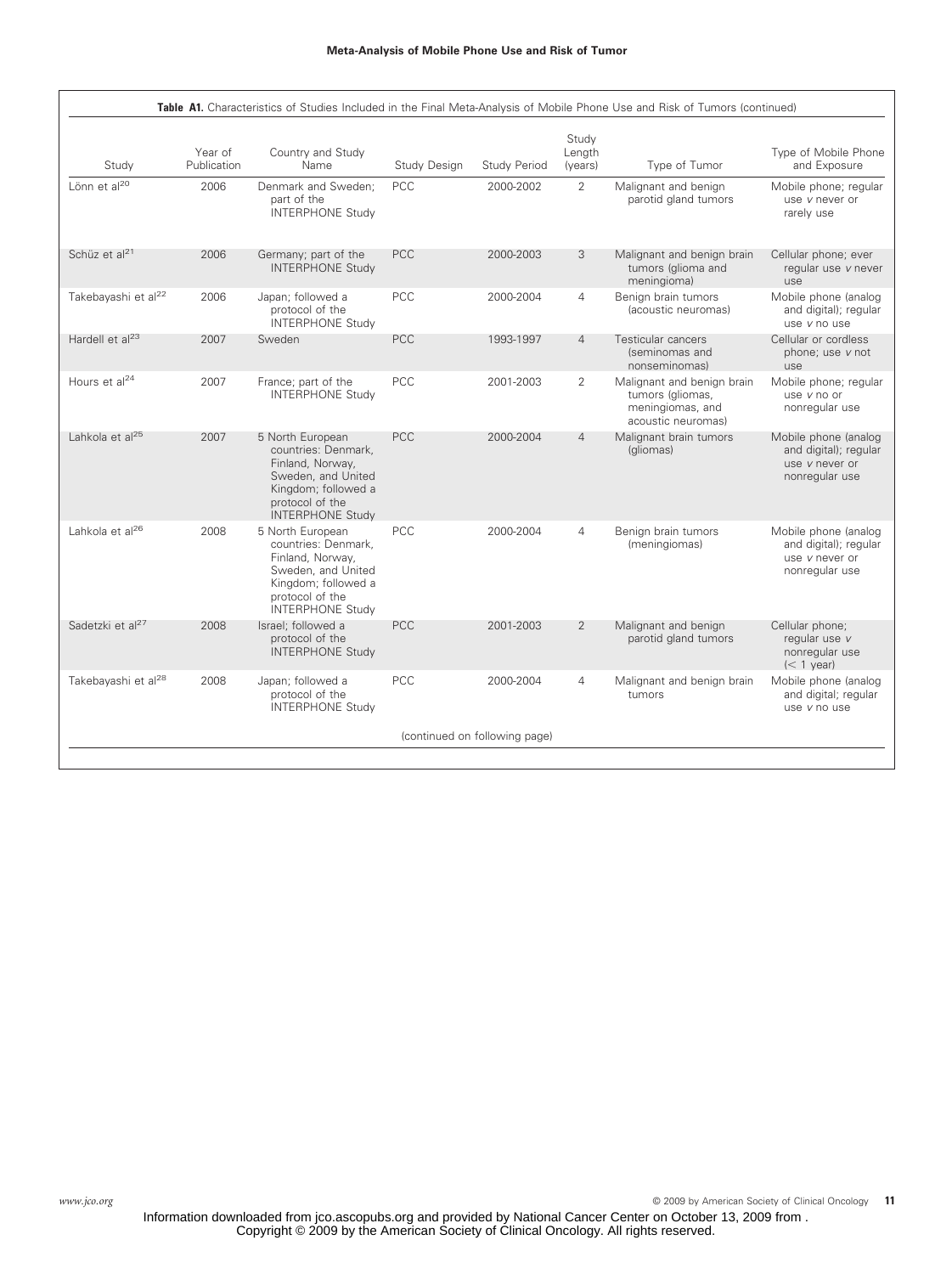| Study                           | Year of<br>Publication | Country and Study<br>Name                                                                                                                              | Study Design | <b>Study Period</b>           | Study<br>Length<br>(years) | Type of Tumor                                                                            | Type of Mobile Phone<br>and Exposure                                              |
|---------------------------------|------------------------|--------------------------------------------------------------------------------------------------------------------------------------------------------|--------------|-------------------------------|----------------------------|------------------------------------------------------------------------------------------|-----------------------------------------------------------------------------------|
| Lönn et al <sup>20</sup>        | 2006                   | Denmark and Sweden;<br>part of the<br><b>INTERPHONE Study</b>                                                                                          | PCC          | 2000-2002                     | 2                          | Malignant and benign<br>parotid gland tumors                                             | Mobile phone; regular<br>use v never or<br>rarely use                             |
| Schüz et al <sup>21</sup>       | 2006                   | Germany; part of the<br><b>INTERPHONE Study</b>                                                                                                        | <b>PCC</b>   | 2000-2003                     | 3                          | Malignant and benign brain<br>tumors (glioma and<br>meningioma)                          | Cellular phone; ever<br>regular use v never<br>use                                |
| Takebayashi et al <sup>22</sup> | 2006                   | Japan; followed a<br>protocol of the<br><b>INTERPHONE Study</b>                                                                                        | <b>PCC</b>   | 2000-2004                     | 4                          | Benign brain tumors<br>(acoustic neuromas)                                               | Mobile phone (analog<br>and digital); regular<br>use v no use                     |
| Hardell et al <sup>23</sup>     | 2007                   | Sweden                                                                                                                                                 | <b>PCC</b>   | 1993-1997                     | $\overline{4}$             | Testicular cancers<br>(seminomas and<br>nonseminomas)                                    | Cellular or cordless<br>phone; use v not<br>use                                   |
| Hours et $al24$                 | 2007                   | France; part of the<br><b>INTERPHONE Study</b>                                                                                                         | <b>PCC</b>   | 2001-2003                     | $\overline{2}$             | Malignant and benign brain<br>tumors (gliomas,<br>meningiomas, and<br>acoustic neuromas) | Mobile phone; regular<br>use v no or<br>nonregular use                            |
| Lahkola et al <sup>25</sup>     | 2007                   | 5 North European<br>countries: Denmark,<br>Finland, Norway,<br>Sweden, and United<br>Kingdom; followed a<br>protocol of the<br><b>INTERPHONE Study</b> | <b>PCC</b>   | 2000-2004                     | $\overline{4}$             | Malignant brain tumors<br>(gliomas)                                                      | Mobile phone (analog<br>and digital); regular<br>use v never or<br>nonregular use |
| Lahkola et al <sup>26</sup>     | 2008                   | 5 North European<br>countries: Denmark.<br>Finland, Norway,<br>Sweden, and United<br>Kingdom; followed a<br>protocol of the<br><b>INTERPHONE Study</b> | PCC          | 2000-2004                     | $\overline{4}$             | Benign brain tumors<br>(meningiomas)                                                     | Mobile phone (analog<br>and digital); regular<br>use v never or<br>nonregular use |
| Sadetzki et al <sup>27</sup>    | 2008                   | Israel; followed a<br>protocol of the<br><b>INTERPHONE Study</b>                                                                                       | <b>PCC</b>   | 2001-2003                     | 2                          | Malignant and benign<br>parotid gland tumors                                             | Cellular phone;<br>reqular use v<br>nonregular use<br>$(< 1$ year)                |
| Takebayashi et al <sup>28</sup> | 2008                   | Japan; followed a<br>protocol of the<br><b>INTERPHONE Study</b>                                                                                        | PCC          | 2000-2004                     | 4                          | Malignant and benign brain<br>tumors                                                     | Mobile phone (analog<br>and digital; regular<br>use v no use                      |
|                                 |                        |                                                                                                                                                        |              | (continued on following page) |                            |                                                                                          |                                                                                   |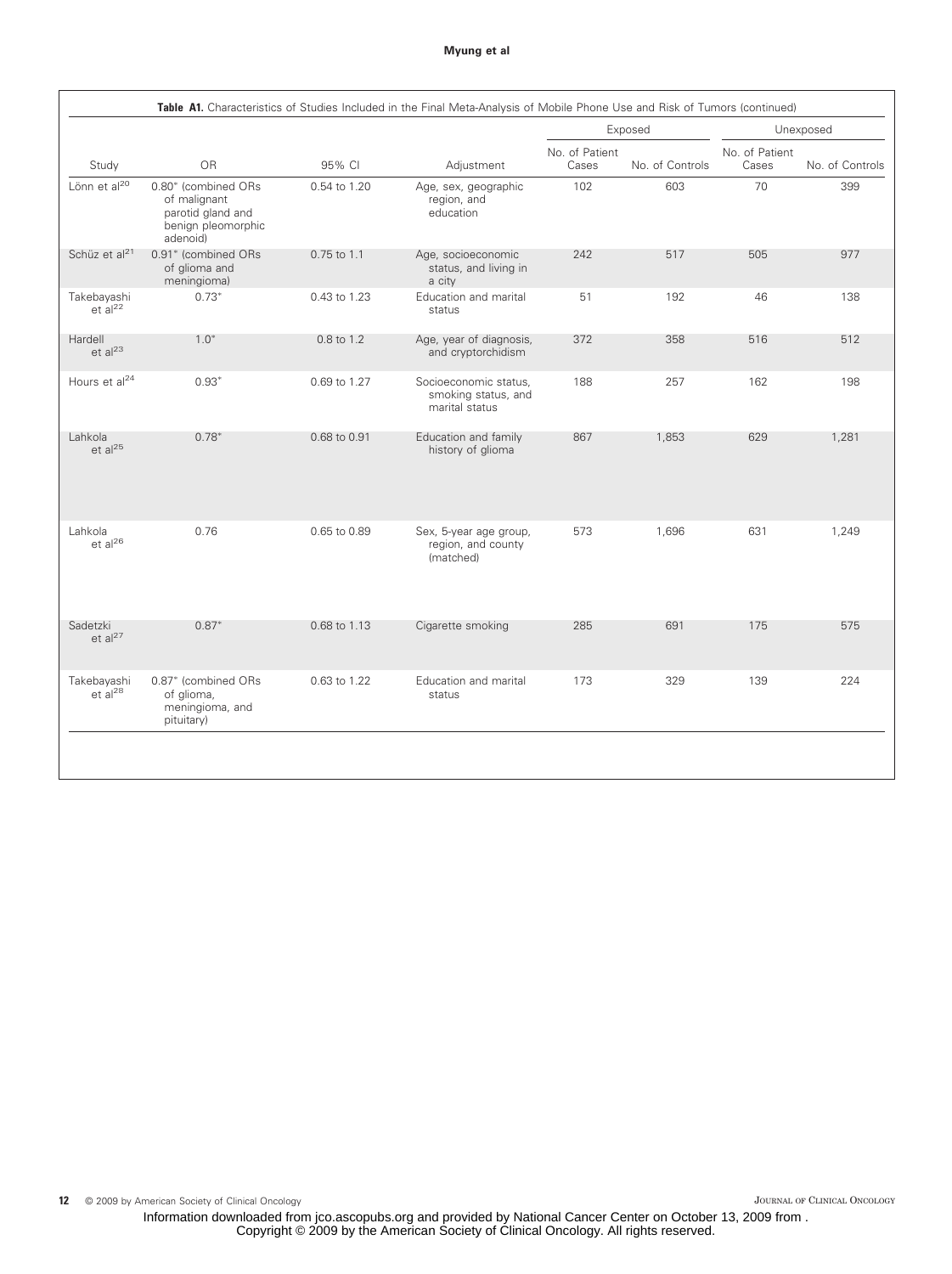# **Myung et al**

|                                    |                                                                                            |              |                                                                | Exposed                 | Unexposed       |                         |                 |
|------------------------------------|--------------------------------------------------------------------------------------------|--------------|----------------------------------------------------------------|-------------------------|-----------------|-------------------------|-----------------|
| Study                              | <b>OR</b>                                                                                  | 95% CI       | Adjustment                                                     | No. of Patient<br>Cases | No. of Controls | No. of Patient<br>Cases | No. of Controls |
| Lönn et al <sup>20</sup>           | 0.80* (combined ORs<br>of malignant<br>parotid gland and<br>benign pleomorphic<br>adenoid) | 0.54 to 1.20 | Age, sex, geographic<br>region, and<br>education               | 102                     | 603             | 70                      | 399             |
| Schüz et al <sup>21</sup>          | 0.91* (combined ORs)<br>of glioma and<br>meningioma)                                       | 0.75 to 1.1  | Age, socioeconomic<br>status, and living in<br>a city          | 242                     | 517             | 505                     | 977             |
| Takebayashi<br>et al <sup>22</sup> | $0.73*$                                                                                    | 0.43 to 1.23 | Education and marital<br>status                                | 51                      | 192             | 46                      | 138             |
| Hardell<br>et al <sup>23</sup>     | $1.0*$                                                                                     | 0.8 to 1.2   | Age, year of diagnosis,<br>and cryptorchidism                  | 372                     | 358             | 516                     | 512             |
| Hours et al <sup>24</sup>          | $0.93*$                                                                                    | 0.69 to 1.27 | Socioeconomic status,<br>smoking status, and<br>marital status | 188                     | 257             | 162                     | 198             |
| Lahkola<br>et al <sup>25</sup>     | $0.78*$                                                                                    | 0.68 to 0.91 | Education and family<br>history of glioma                      | 867                     | 1,853           | 629                     | 1,281           |
| Lahkola<br>et al $^{26}$           | 0.76                                                                                       | 0.65 to 0.89 | Sex, 5-year age group,<br>region, and county<br>(matched)      | 573                     | 1,696           | 631                     | 1,249           |
| Sadetzki<br>et al <sup>27</sup>    | $0.87*$                                                                                    | 0.68 to 1.13 | Cigarette smoking                                              | 285                     | 691             | 175                     | 575             |
| Takebayashi<br>$et al^{28}$        | 0.87* (combined ORs<br>of glioma,<br>meningioma, and<br>pituitary)                         | 0.63 to 1.22 | Education and marital<br>status                                | 173                     | 329             | 139                     | 224             |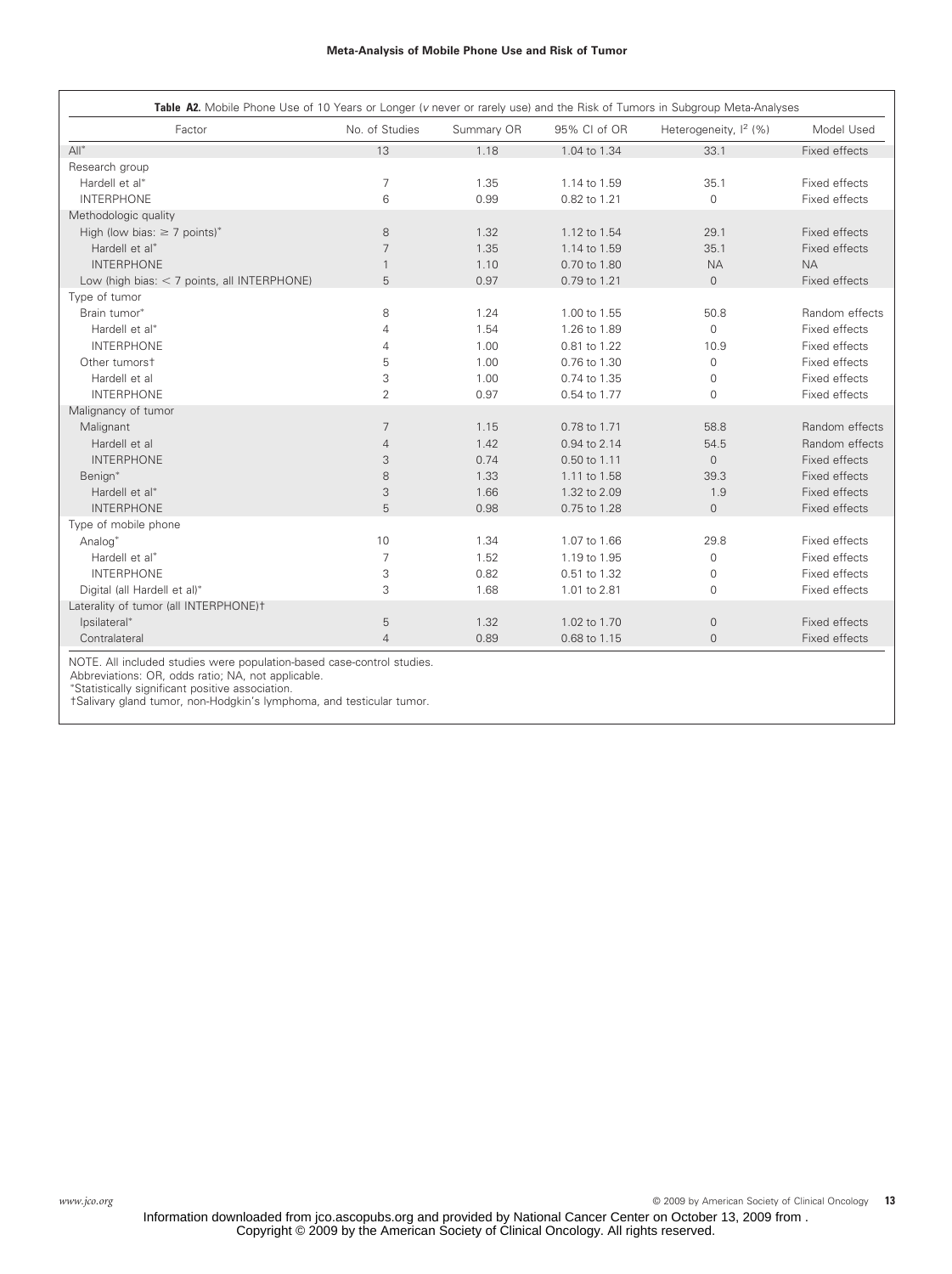#### **Meta-Analysis of Mobile Phone Use and Risk of Tumor**

| Table A2. Mobile Phone Use of 10 Years or Longer (v never or rarely use) and the Risk of Tumors in Subgroup Meta-Analyses |                |            |              |                          |                |
|---------------------------------------------------------------------------------------------------------------------------|----------------|------------|--------------|--------------------------|----------------|
| Factor                                                                                                                    | No. of Studies | Summary OR | 95% CI of OR | Heterogeneity, $1^2$ (%) | Model Used     |
| $All^*$                                                                                                                   | 13             | 1.18       | 1.04 to 1.34 | 33.1                     | Fixed effects  |
| Research group                                                                                                            |                |            |              |                          |                |
| Hardell et al*                                                                                                            | $\overline{7}$ | 1.35       | 1.14 to 1.59 | 35.1                     | Fixed effects  |
| <b>INTERPHONE</b>                                                                                                         | 6              | 0.99       | 0.82 to 1.21 | $\mathbf 0$              | Fixed effects  |
| Methodologic quality                                                                                                      |                |            |              |                          |                |
| High (low bias: $\geq$ 7 points)*                                                                                         | 8              | 1.32       | 1.12 to 1.54 | 29.1                     | Fixed effects  |
| Hardell et al*                                                                                                            | $\overline{7}$ | 1.35       | 1.14 to 1.59 | 35.1                     | Fixed effects  |
| <b>INTERPHONE</b>                                                                                                         | 1              | 1.10       | 0.70 to 1.80 | <b>NA</b>                | <b>NA</b>      |
| Low (high bias: $<$ 7 points, all INTERPHONE)                                                                             | 5              | 0.97       | 0.79 to 1.21 | $\mathbf{0}$             | Fixed effects  |
| Type of tumor                                                                                                             |                |            |              |                          |                |
| Brain tumor*                                                                                                              | 8              | 1.24       | 1.00 to 1.55 | 50.8                     | Random effects |
| Hardell et al*                                                                                                            | 4              | 1.54       | 1.26 to 1.89 | $\Omega$                 | Fixed effects  |
| <b>INTERPHONE</b>                                                                                                         | 4              | 1.00       | 0.81 to 1.22 | 10.9                     | Fixed effects  |
| Other tumorst                                                                                                             | 5              | 1.00       | 0.76 to 1.30 | 0                        | Fixed effects  |
| Hardell et al                                                                                                             | 3              | 1.00       | 0.74 to 1.35 | $\mathbf 0$              | Fixed effects  |
| <b>INTERPHONE</b>                                                                                                         | $\overline{2}$ | 0.97       | 0.54 to 1.77 | $\mathbf 0$              | Fixed effects  |
| Malignancy of tumor                                                                                                       |                |            |              |                          |                |
| Malignant                                                                                                                 | $\overline{7}$ | 1.15       | 0.78 to 1.71 | 58.8                     | Random effects |
| Hardell et al                                                                                                             | $\overline{4}$ | 1.42       | 0.94 to 2.14 | 54.5                     | Random effects |
| <b>INTERPHONE</b>                                                                                                         | 3              | 0.74       | 0.50 to 1.11 | $\Omega$                 | Fixed effects  |
| Benign*                                                                                                                   | 8              | 1.33       | 1.11 to 1.58 | 39.3                     | Fixed effects  |
| Hardell et al*                                                                                                            | 3              | 1.66       | 1.32 to 2.09 | 1.9                      | Fixed effects  |
| <b>INTERPHONE</b>                                                                                                         | 5              | 0.98       | 0.75 to 1.28 | $\Omega$                 | Fixed effects  |
| Type of mobile phone                                                                                                      |                |            |              |                          |                |
| Analog*                                                                                                                   | 10             | 1.34       | 1.07 to 1.66 | 29.8                     | Fixed effects  |
| Hardell et al*                                                                                                            | $\overline{7}$ | 1.52       | 1.19 to 1.95 | $\mathbf 0$              | Fixed effects  |
| <b>INTERPHONE</b>                                                                                                         | 3              | 0.82       | 0.51 to 1.32 | $\mathbf 0$              | Fixed effects  |
| Digital (all Hardell et al)*                                                                                              | 3              | 1.68       | 1.01 to 2.81 | $\mathbf{0}$             | Fixed effects  |
| Laterality of tumor (all INTERPHONE)+                                                                                     |                |            |              |                          |                |
| lpsilateral*                                                                                                              | 5              | 1.32       | 1.02 to 1.70 | $\mathbf{0}$             | Fixed effects  |
| Contralateral                                                                                                             | $\overline{4}$ | 0.89       | 0.68 to 1.15 | $\overline{0}$           | Fixed effects  |

NOTE. All included studies were population-based case-control studies.

Abbreviations: OR, odds ratio; NA, not applicable. Statistically significant positive association.

†Salivary gland tumor, non-Hodgkin's lymphoma, and testicular tumor.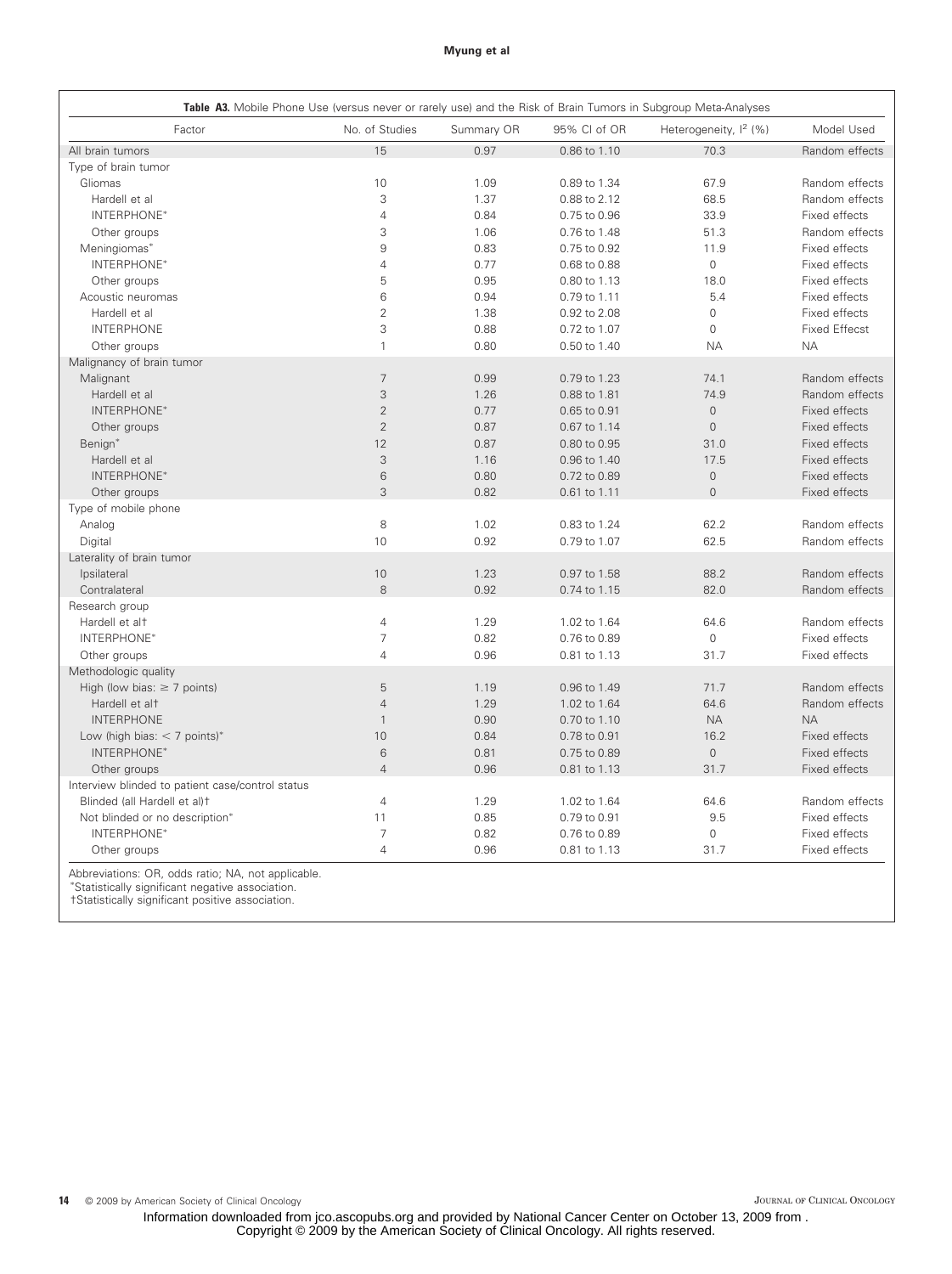| Factor                                           | No. of Studies | Summary OR | 95% CI of OR | Heterogeneity, $\vert^2$ (%) | Model Used           |
|--------------------------------------------------|----------------|------------|--------------|------------------------------|----------------------|
| All brain tumors                                 | 15             | 0.97       | 0.86 to 1.10 | 70.3                         | Random effects       |
| Type of brain tumor                              |                |            |              |                              |                      |
| Gliomas                                          | 10             | 1.09       | 0.89 to 1.34 | 67.9                         | Random effects       |
| Hardell et al                                    | 3              | 1.37       | 0.88 to 2.12 | 68.5                         | Random effects       |
| INTERPHONE*                                      | $\overline{4}$ | 0.84       | 0.75 to 0.96 | 33.9                         | Fixed effects        |
| Other groups                                     | 3              | 1.06       | 0.76 to 1.48 | 51.3                         | Random effects       |
| Meningiomas*                                     | 9              | 0.83       | 0.75 to 0.92 | 11.9                         | Fixed effects        |
| INTERPHONE*                                      | $\overline{4}$ | 0.77       | 0.68 to 0.88 | $\mathbf{0}$                 | Fixed effects        |
| Other groups                                     | 5              | 0.95       | 0.80 to 1.13 | 18.0                         | Fixed effects        |
| Acoustic neuromas                                | 6              | 0.94       | 0.79 to 1.11 | 5.4                          | Fixed effects        |
| Hardell et al                                    | $\overline{2}$ | 1.38       | 0.92 to 2.08 | $\mathbf 0$                  | Fixed effects        |
| <b>INTERPHONE</b>                                | 3              | 0.88       | 0.72 to 1.07 | $\overline{0}$               | <b>Fixed Effecst</b> |
| Other groups                                     | $\mathbf{1}$   | 0.80       | 0.50 to 1.40 | <b>NA</b>                    | <b>NA</b>            |
| Malignancy of brain tumor                        |                |            |              |                              |                      |
| Malignant                                        | $\overline{7}$ | 0.99       | 0.79 to 1.23 | 74.1                         | Random effects       |
| Hardell et al                                    | 3              | 1.26       | 0.88 to 1.81 | 74.9                         | Random effects       |
| INTERPHONE*                                      | $\overline{2}$ | 0.77       | 0.65 to 0.91 | $\mathsf{O}\xspace$          | Fixed effects        |
| Other groups                                     | $\overline{2}$ | 0.87       | 0.67 to 1.14 | $\overline{0}$               | Fixed effects        |
| Benign <sup>*</sup>                              | 12             | 0.87       | 0.80 to 0.95 | 31.0                         | <b>Fixed effects</b> |
| Hardell et al                                    | 3              | 1.16       | 0.96 to 1.40 | 17.5                         | Fixed effects        |
| INTERPHONE*                                      | $\,6\,$        | 0.80       | 0.72 to 0.89 | $\mathbf 0$                  | Fixed effects        |
| Other groups                                     | 3              | 0.82       | 0.61 to 1.11 | $\overline{0}$               | Fixed effects        |
| Type of mobile phone                             |                |            |              |                              |                      |
| Analog                                           | 8              | 1.02       | 0.83 to 1.24 | 62.2                         | Random effects       |
| Digital                                          | 10             | 0.92       | 0.79 to 1.07 | 62.5                         | Random effects       |
| Laterality of brain tumor                        |                |            |              |                              |                      |
| Ipsilateral                                      | 10             | 1.23       | 0.97 to 1.58 | 88.2                         | Random effects       |
| Contralateral                                    | 8              | 0.92       | 0.74 to 1.15 | 82.0                         | Random effects       |
| Research group                                   |                |            |              |                              |                      |
| Hardell et alt                                   | $\overline{4}$ | 1.29       | 1.02 to 1.64 | 64.6                         | Random effects       |
| INTERPHONE*                                      | $\overline{7}$ | 0.82       | 0.76 to 0.89 | $\mathsf{O}\xspace$          | Fixed effects        |
| Other groups                                     | $\overline{4}$ | 0.96       | 0.81 to 1.13 | 31.7                         | Fixed effects        |
| Methodologic quality                             |                |            |              |                              |                      |
| High (low bias: $\geq$ 7 points)                 | 5              | 1.19       | 0.96 to 1.49 | 71.7                         | Random effects       |
| Hardell et alt                                   | $\overline{4}$ | 1.29       | 1.02 to 1.64 | 64.6                         | Random effects       |
| <b>INTERPHONE</b>                                | $\mathbf{1}$   | 0.90       | 0.70 to 1.10 | <b>NA</b>                    | <b>NA</b>            |
| Low (high bias: $<$ 7 points)*                   | 10             | 0.84       | 0.78 to 0.91 | 16.2                         | <b>Fixed effects</b> |
| INTERPHONE*                                      | $6\,$          | 0.81       | 0.75 to 0.89 | $\mathbf 0$                  | <b>Fixed effects</b> |
| Other groups                                     | $\overline{4}$ | 0.96       | 0.81 to 1.13 | 31.7                         | Fixed effects        |
| Interview blinded to patient case/control status |                |            |              |                              |                      |
| Blinded (all Hardell et al)+                     | $\overline{4}$ | 1.29       | 1.02 to 1.64 | 64.6                         | Random effects       |
| Not blinded or no description*                   | 11             | 0.85       | 0.79 to 0.91 | 9.5                          | Fixed effects        |
| INTERPHONE*                                      | $\overline{7}$ | 0.82       | 0.76 to 0.89 | $\mathbf{0}$                 | Fixed effects        |
| Other groups                                     | $\overline{4}$ | 0.96       | 0.81 to 1.13 | 31.7                         | Fixed effects        |

†Statistically significant positive association.

Information downloaded from jco.ascopubs.org and provided by National Cancer Center on October 13, 2009 from .<br>Copyright © 2009 by the American Society of Clinical Oncology. All rights reserved.

#### **Myung et al**